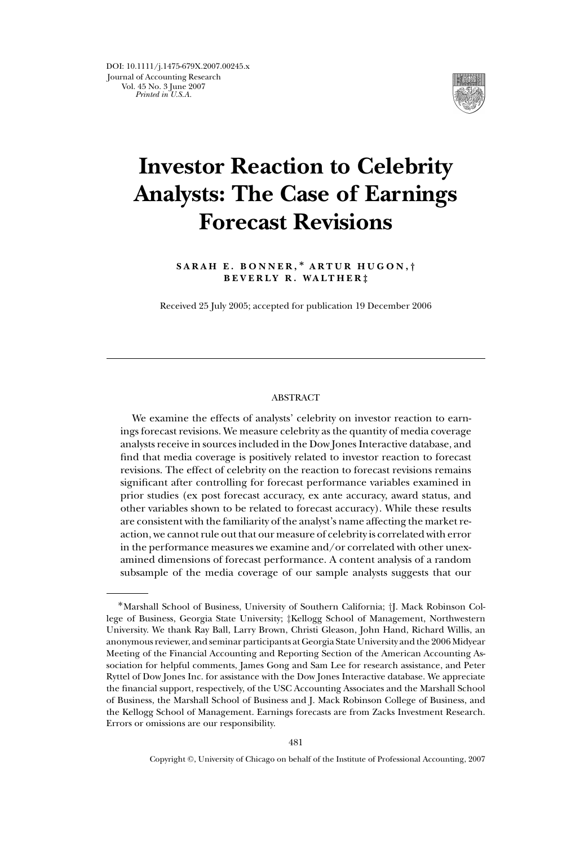

# **Investor Reaction to Celebrity Analysts: The Case of Earnings Forecast Revisions**

**SARAH E. BONNER,** *∗* **ARTUR HUGON,** *†* **BEVERLY R. WALTHER** *‡*

Received 25 July 2005; accepted for publication 19 December 2006

#### ABSTRACT

We examine the effects of analysts' celebrity on investor reaction to earnings forecast revisions. We measure celebrity as the quantity of media coverage analysts receive in sources included in the Dow Jones Interactive database, and find that media coverage is positively related to investor reaction to forecast revisions. The effect of celebrity on the reaction to forecast revisions remains significant after controlling for forecast performance variables examined in prior studies (ex post forecast accuracy, ex ante accuracy, award status, and other variables shown to be related to forecast accuracy). While these results are consistent with the familiarity of the analyst's name affecting the market reaction, we cannot rule out that our measure of celebrity is correlated with error in the performance measures we examine and/or correlated with other unexamined dimensions of forecast performance. A content analysis of a random subsample of the media coverage of our sample analysts suggests that our

<sup>∗</sup>Marshall School of Business, University of Southern California; †J. Mack Robinson College of Business, Georgia State University; ‡Kellogg School of Management, Northwestern University. We thank Ray Ball, Larry Brown, Christi Gleason, John Hand, Richard Willis, an anonymous reviewer, and seminar participants at Georgia State University and the 2006 Midyear Meeting of the Financial Accounting and Reporting Section of the American Accounting Association for helpful comments, James Gong and Sam Lee for research assistance, and Peter Ryttel of Dow Jones Inc. for assistance with the Dow Jones Interactive database. We appreciate the financial support, respectively, of the USC Accounting Associates and the Marshall School of Business, the Marshall School of Business and J. Mack Robinson College of Business, and the Kellogg School of Management. Earnings forecasts are from Zacks Investment Research. Errors or omissions are our responsibility.

Copyright ©, University of Chicago on behalf of the Institute of Professional Accounting, 2007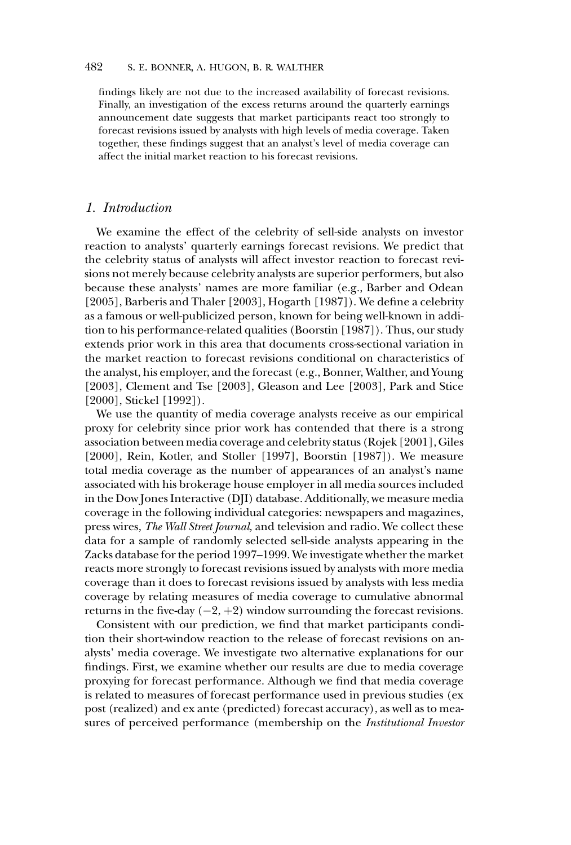### 482 S. E. BONNER, A. HUGON, B. R. WALTHER

findings likely are not due to the increased availability of forecast revisions. Finally, an investigation of the excess returns around the quarterly earnings announcement date suggests that market participants react too strongly to forecast revisions issued by analysts with high levels of media coverage. Taken together, these findings suggest that an analyst's level of media coverage can affect the initial market reaction to his forecast revisions.

# *1. Introduction*

We examine the effect of the celebrity of sell-side analysts on investor reaction to analysts' quarterly earnings forecast revisions. We predict that the celebrity status of analysts will affect investor reaction to forecast revisions not merely because celebrity analysts are superior performers, but also because these analysts' names are more familiar (e.g., Barber and Odean [2005], Barberis and Thaler [2003], Hogarth [1987]). We define a celebrity as a famous or well-publicized person, known for being well-known in addition to his performance-related qualities (Boorstin [1987]). Thus, our study extends prior work in this area that documents cross-sectional variation in the market reaction to forecast revisions conditional on characteristics of the analyst, his employer, and the forecast (e.g., Bonner, Walther, and Young [2003], Clement and Tse [2003], Gleason and Lee [2003], Park and Stice [2000], Stickel [1992]).

We use the quantity of media coverage analysts receive as our empirical proxy for celebrity since prior work has contended that there is a strong association between media coverage and celebrity status (Rojek [2001], Giles [2000], Rein, Kotler, and Stoller [1997], Boorstin [1987]). We measure total media coverage as the number of appearances of an analyst's name associated with his brokerage house employer in all media sources included in the Dow Jones Interactive (DJI) database. Additionally, we measure media coverage in the following individual categories: newspapers and magazines, press wires, *The Wall Street Journal,* and television and radio. We collect these data for a sample of randomly selected sell-side analysts appearing in the Zacks database for the period 1997–1999. We investigate whether the market reacts more strongly to forecast revisions issued by analysts with more media coverage than it does to forecast revisions issued by analysts with less media coverage by relating measures of media coverage to cumulative abnormal returns in the five-day  $(-2, +2)$  window surrounding the forecast revisions.

Consistent with our prediction, we find that market participants condition their short-window reaction to the release of forecast revisions on analysts' media coverage. We investigate two alternative explanations for our findings. First, we examine whether our results are due to media coverage proxying for forecast performance. Although we find that media coverage is related to measures of forecast performance used in previous studies (ex post (realized) and ex ante (predicted) forecast accuracy), as well as to measures of perceived performance (membership on the *Institutional Investor*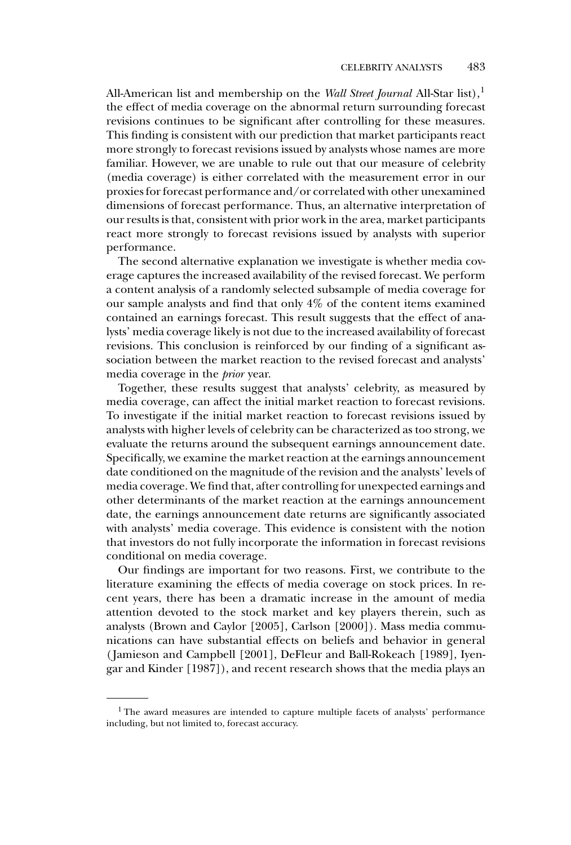All-American list and membership on the *Wall Street Journal* All-Star list),<sup>1</sup> the effect of media coverage on the abnormal return surrounding forecast revisions continues to be significant after controlling for these measures. This finding is consistent with our prediction that market participants react more strongly to forecast revisions issued by analysts whose names are more familiar. However, we are unable to rule out that our measure of celebrity (media coverage) is either correlated with the measurement error in our proxies for forecast performance and/or correlated with other unexamined dimensions of forecast performance. Thus, an alternative interpretation of our results is that, consistent with prior work in the area, market participants react more strongly to forecast revisions issued by analysts with superior performance.

The second alternative explanation we investigate is whether media coverage captures the increased availability of the revised forecast. We perform a content analysis of a randomly selected subsample of media coverage for our sample analysts and find that only 4% of the content items examined contained an earnings forecast. This result suggests that the effect of analysts' media coverage likely is not due to the increased availability of forecast revisions. This conclusion is reinforced by our finding of a significant association between the market reaction to the revised forecast and analysts' media coverage in the *prior* year.

Together, these results suggest that analysts' celebrity, as measured by media coverage, can affect the initial market reaction to forecast revisions. To investigate if the initial market reaction to forecast revisions issued by analysts with higher levels of celebrity can be characterized as too strong, we evaluate the returns around the subsequent earnings announcement date. Specifically, we examine the market reaction at the earnings announcement date conditioned on the magnitude of the revision and the analysts' levels of media coverage. We find that, after controlling for unexpected earnings and other determinants of the market reaction at the earnings announcement date, the earnings announcement date returns are significantly associated with analysts' media coverage. This evidence is consistent with the notion that investors do not fully incorporate the information in forecast revisions conditional on media coverage.

Our findings are important for two reasons. First, we contribute to the literature examining the effects of media coverage on stock prices. In recent years, there has been a dramatic increase in the amount of media attention devoted to the stock market and key players therein, such as analysts (Brown and Caylor [2005], Carlson [2000]). Mass media communications can have substantial effects on beliefs and behavior in general (Jamieson and Campbell [2001], DeFleur and Ball-Rokeach [1989], Iyengar and Kinder [1987]), and recent research shows that the media plays an

<sup>&</sup>lt;sup>1</sup> The award measures are intended to capture multiple facets of analysts' performance including, but not limited to, forecast accuracy.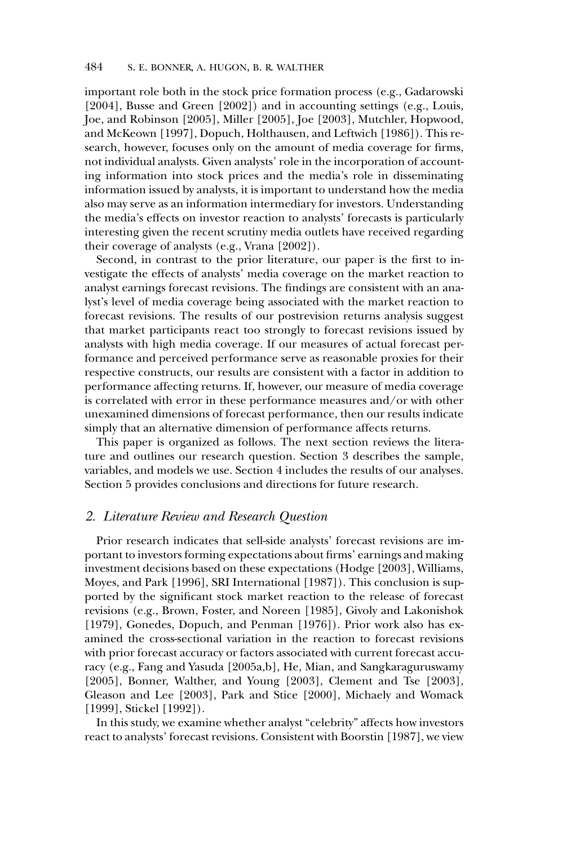important role both in the stock price formation process (e.g., Gadarowski [2004], Busse and Green [2002]) and in accounting settings (e.g., Louis, Joe, and Robinson [2005], Miller [2005], Joe [2003], Mutchler, Hopwood, and McKeown [1997], Dopuch, Holthausen, and Leftwich [1986]). This research, however, focuses only on the amount of media coverage for firms, not individual analysts. Given analysts' role in the incorporation of accounting information into stock prices and the media's role in disseminating information issued by analysts, it is important to understand how the media also may serve as an information intermediary for investors. Understanding the media's effects on investor reaction to analysts' forecasts is particularly interesting given the recent scrutiny media outlets have received regarding their coverage of analysts (e.g., Vrana [2002]).

Second, in contrast to the prior literature, our paper is the first to investigate the effects of analysts' media coverage on the market reaction to analyst earnings forecast revisions. The findings are consistent with an analyst's level of media coverage being associated with the market reaction to forecast revisions. The results of our postrevision returns analysis suggest that market participants react too strongly to forecast revisions issued by analysts with high media coverage. If our measures of actual forecast performance and perceived performance serve as reasonable proxies for their respective constructs, our results are consistent with a factor in addition to performance affecting returns. If, however, our measure of media coverage is correlated with error in these performance measures and/or with other unexamined dimensions of forecast performance, then our results indicate simply that an alternative dimension of performance affects returns.

This paper is organized as follows. The next section reviews the literature and outlines our research question. Section 3 describes the sample, variables, and models we use. Section 4 includes the results of our analyses. Section 5 provides conclusions and directions for future research.

# *2. Literature Review and Research Question*

Prior research indicates that sell-side analysts' forecast revisions are important to investors forming expectations about firms' earnings and making investment decisions based on these expectations (Hodge [2003], Williams, Moyes, and Park [1996], SRI International [1987]). This conclusion is supported by the significant stock market reaction to the release of forecast revisions (e.g., Brown, Foster, and Noreen [1985], Givoly and Lakonishok [1979], Gonedes, Dopuch, and Penman [1976]). Prior work also has examined the cross-sectional variation in the reaction to forecast revisions with prior forecast accuracy or factors associated with current forecast accuracy (e.g., Fang and Yasuda [2005a,b], He, Mian, and Sangkaraguruswamy [2005], Bonner, Walther, and Young [2003], Clement and Tse [2003], Gleason and Lee [2003], Park and Stice [2000], Michaely and Womack [1999], Stickel [1992]).

In this study, we examine whether analyst "celebrity" affects how investors react to analysts' forecast revisions. Consistent with Boorstin [1987], we view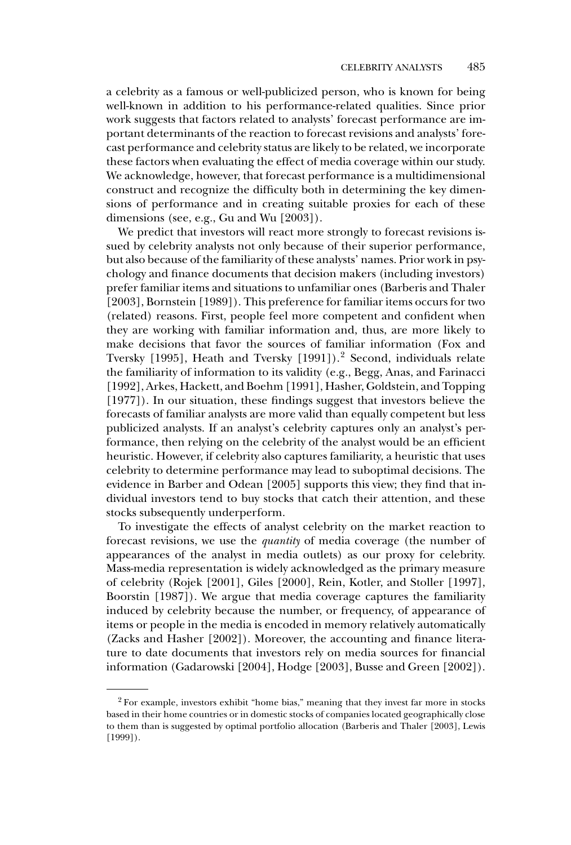a celebrity as a famous or well-publicized person, who is known for being well-known in addition to his performance-related qualities. Since prior work suggests that factors related to analysts' forecast performance are important determinants of the reaction to forecast revisions and analysts' forecast performance and celebrity status are likely to be related, we incorporate these factors when evaluating the effect of media coverage within our study. We acknowledge, however, that forecast performance is a multidimensional construct and recognize the difficulty both in determining the key dimensions of performance and in creating suitable proxies for each of these dimensions (see, e.g., Gu and Wu [2003]).

We predict that investors will react more strongly to forecast revisions issued by celebrity analysts not only because of their superior performance, but also because of the familiarity of these analysts' names. Prior work in psychology and finance documents that decision makers (including investors) prefer familiar items and situations to unfamiliar ones (Barberis and Thaler [2003], Bornstein [1989]). This preference for familiar items occurs for two (related) reasons. First, people feel more competent and confident when they are working with familiar information and, thus, are more likely to make decisions that favor the sources of familiar information (Fox and Tversky [1995], Heath and Tversky [1991]).<sup>2</sup> Second, individuals relate the familiarity of information to its validity (e.g., Begg, Anas, and Farinacci [1992], Arkes, Hackett, and Boehm [1991], Hasher, Goldstein, and Topping [1977]). In our situation, these findings suggest that investors believe the forecasts of familiar analysts are more valid than equally competent but less publicized analysts. If an analyst's celebrity captures only an analyst's performance, then relying on the celebrity of the analyst would be an efficient heuristic. However, if celebrity also captures familiarity, a heuristic that uses celebrity to determine performance may lead to suboptimal decisions. The evidence in Barber and Odean [2005] supports this view; they find that individual investors tend to buy stocks that catch their attention, and these stocks subsequently underperform.

To investigate the effects of analyst celebrity on the market reaction to forecast revisions, we use the *quantity* of media coverage (the number of appearances of the analyst in media outlets) as our proxy for celebrity. Mass-media representation is widely acknowledged as the primary measure of celebrity (Rojek [2001], Giles [2000], Rein, Kotler, and Stoller [1997], Boorstin [1987]). We argue that media coverage captures the familiarity induced by celebrity because the number, or frequency, of appearance of items or people in the media is encoded in memory relatively automatically (Zacks and Hasher [2002]). Moreover, the accounting and finance literature to date documents that investors rely on media sources for financial information (Gadarowski [2004], Hodge [2003], Busse and Green [2002]).

<sup>&</sup>lt;sup>2</sup> For example, investors exhibit "home bias," meaning that they invest far more in stocks based in their home countries or in domestic stocks of companies located geographically close to them than is suggested by optimal portfolio allocation (Barberis and Thaler [2003], Lewis [1999]).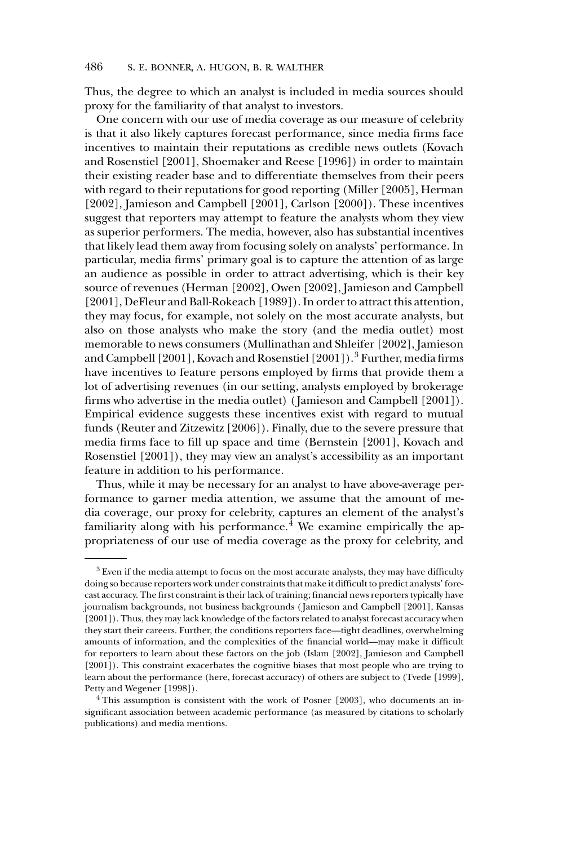Thus, the degree to which an analyst is included in media sources should proxy for the familiarity of that analyst to investors.

One concern with our use of media coverage as our measure of celebrity is that it also likely captures forecast performance, since media firms face incentives to maintain their reputations as credible news outlets (Kovach and Rosenstiel [2001], Shoemaker and Reese [1996]) in order to maintain their existing reader base and to differentiate themselves from their peers with regard to their reputations for good reporting (Miller [2005], Herman [2002], Jamieson and Campbell [2001], Carlson [2000]). These incentives suggest that reporters may attempt to feature the analysts whom they view as superior performers. The media, however, also has substantial incentives that likely lead them away from focusing solely on analysts' performance. In particular, media firms' primary goal is to capture the attention of as large an audience as possible in order to attract advertising, which is their key source of revenues (Herman [2002], Owen [2002], Jamieson and Campbell [2001], DeFleur and Ball-Rokeach [1989]). In order to attract this attention, they may focus, for example, not solely on the most accurate analysts, but also on those analysts who make the story (and the media outlet) most memorable to news consumers (Mullinathan and Shleifer [2002], Jamieson and Campbell [2001], Kovach and Rosenstiel [2001]).<sup>3</sup> Further, media firms have incentives to feature persons employed by firms that provide them a lot of advertising revenues (in our setting, analysts employed by brokerage firms who advertise in the media outlet) (Jamieson and Campbell [2001]). Empirical evidence suggests these incentives exist with regard to mutual funds (Reuter and Zitzewitz [2006]). Finally, due to the severe pressure that media firms face to fill up space and time (Bernstein [2001], Kovach and Rosenstiel [2001]), they may view an analyst's accessibility as an important feature in addition to his performance.

Thus, while it may be necessary for an analyst to have above-average performance to garner media attention, we assume that the amount of media coverage, our proxy for celebrity, captures an element of the analyst's familiarity along with his performance. $\frac{4}{3}$  We examine empirically the appropriateness of our use of media coverage as the proxy for celebrity, and

 $3$  Even if the media attempt to focus on the most accurate analysts, they may have difficulty doing so because reporters work under constraints that make it difficult to predict analysts' forecast accuracy. The first constraint is their lack of training; financial news reporters typically have journalism backgrounds, not business backgrounds ( Jamieson and Campbell [2001], Kansas [2001]). Thus, they may lack knowledge of the factors related to analyst forecast accuracy when they start their careers. Further, the conditions reporters face—tight deadlines, overwhelming amounts of information, and the complexities of the financial world—may make it difficult for reporters to learn about these factors on the job (Islam [2002], Jamieson and Campbell [2001]). This constraint exacerbates the cognitive biases that most people who are trying to learn about the performance (here, forecast accuracy) of others are subject to (Tvede [1999], Petty and Wegener [1998]).

<sup>4</sup> This assumption is consistent with the work of Posner [2003], who documents an insignificant association between academic performance (as measured by citations to scholarly publications) and media mentions.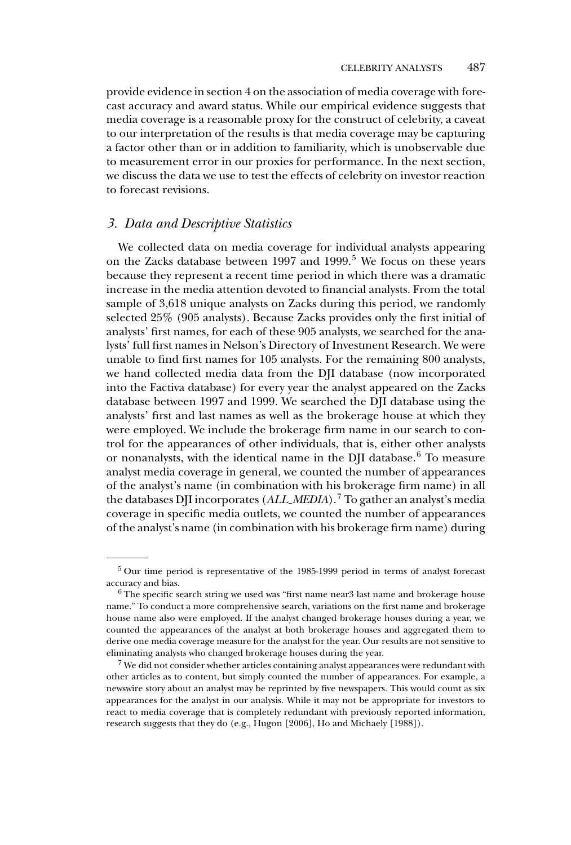provide evidence in section 4 on the association of media coverage with forecast accuracy and award status. While our empirical evidence suggests that media coverage is a reasonable proxy for the construct of celebrity, a caveat to our interpretation of the results is that media coverage may be capturing a factor other than or in addition to familiarity, which is unobservable due to measurement error in our proxies for performance. In the next section, we discuss the data we use to test the effects of celebrity on investor reaction to forecast revisions.

# *3. Data and Descriptive Statistics*

We collected data on media coverage for individual analysts appearing on the Zacks database between  $1997$  and  $1999<sup>5</sup>$  We focus on these years because they represent a recent time period in which there was a dramatic increase in the media attention devoted to financial analysts. From the total sample of 3,618 unique analysts on Zacks during this period, we randomly selected 25% (905 analysts). Because Zacks provides only the first initial of analysts' first names, for each of these 905 analysts, we searched for the analysts' full first names in Nelson's Directory of Investment Research. We were unable to find first names for 105 analysts. For the remaining 800 analysts, we hand collected media data from the DJI database (now incorporated into the Factiva database) for every year the analyst appeared on the Zacks database between 1997 and 1999. We searched the DJI database using the analysts' first and last names as well as the brokerage house at which they were employed. We include the brokerage firm name in our search to control for the appearances of other individuals, that is, either other analysts or nonanalysts, with the identical name in the DJI database.<sup>6</sup> To measure analyst media coverage in general, we counted the number of appearances of the analyst's name (in combination with his brokerage firm name) in all the databases DJI incorporates (*ALL MEDIA*).<sup>7</sup> To gather an analyst's media coverage in specific media outlets, we counted the number of appearances of the analyst's name (in combination with his brokerage firm name) during

<sup>5</sup> Our time period is representative of the 1985-1999 period in terms of analyst forecast accuracy and bias.

 $6$  The specific search string we used was "first name near3 last name and brokerage house name." To conduct a more comprehensive search, variations on the first name and brokerage house name also were employed. If the analyst changed brokerage houses during a year, we counted the appearances of the analyst at both brokerage houses and aggregated them to derive one media coverage measure for the analyst for the year. Our results are not sensitive to eliminating analysts who changed brokerage houses during the year.

<sup>&</sup>lt;sup>7</sup> We did not consider whether articles containing analyst appearances were redundant with other articles as to content, but simply counted the number of appearances. For example, a newswire story about an analyst may be reprinted by five newspapers. This would count as six appearances for the analyst in our analysis. While it may not be appropriate for investors to react to media coverage that is completely redundant with previously reported information, research suggests that they do (e.g., Hugon [2006], Ho and Michaely [1988]).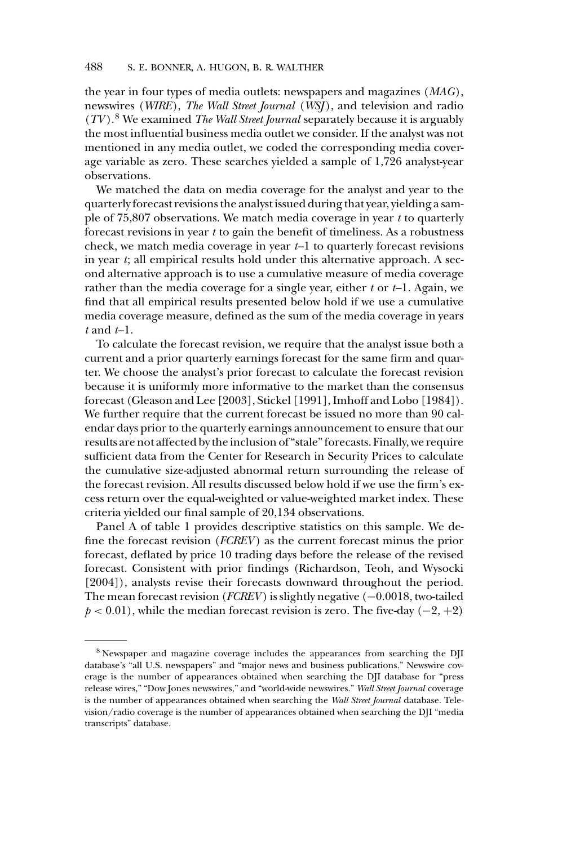the year in four types of media outlets: newspapers and magazines (*MAG*), newswires (*WIRE*), *The Wall Street Journal* (*WSJ* ), and television and radio (*TV* ).<sup>8</sup> We examined *The Wall Street Journal* separately because it is arguably the most influential business media outlet we consider. If the analyst was not mentioned in any media outlet, we coded the corresponding media coverage variable as zero. These searches yielded a sample of 1,726 analyst-year observations.

We matched the data on media coverage for the analyst and year to the quarterly forecast revisions the analyst issued during that year, yielding a sample of 75,807 observations. We match media coverage in year *t* to quarterly forecast revisions in year *t* to gain the benefit of timeliness. As a robustness check, we match media coverage in year *t*–1 to quarterly forecast revisions in year *t*; all empirical results hold under this alternative approach. A second alternative approach is to use a cumulative measure of media coverage rather than the media coverage for a single year, either *t* or *t*–1. Again, we find that all empirical results presented below hold if we use a cumulative media coverage measure, defined as the sum of the media coverage in years *t* and *t*–1.

To calculate the forecast revision, we require that the analyst issue both a current and a prior quarterly earnings forecast for the same firm and quarter. We choose the analyst's prior forecast to calculate the forecast revision because it is uniformly more informative to the market than the consensus forecast (Gleason and Lee [2003], Stickel [1991], Imhoff and Lobo [1984]). We further require that the current forecast be issued no more than 90 calendar days prior to the quarterly earnings announcement to ensure that our results are not affected by the inclusion of "stale" forecasts. Finally, we require sufficient data from the Center for Research in Security Prices to calculate the cumulative size-adjusted abnormal return surrounding the release of the forecast revision. All results discussed below hold if we use the firm's excess return over the equal-weighted or value-weighted market index. These criteria yielded our final sample of 20,134 observations.

Panel A of table 1 provides descriptive statistics on this sample. We define the forecast revision (*FCREV* ) as the current forecast minus the prior forecast, deflated by price 10 trading days before the release of the revised forecast. Consistent with prior findings (Richardson, Teoh, and Wysocki [2004]), analysts revise their forecasts downward throughout the period. The mean forecast revision (*FCREV* ) is slightly negative (−0.0018, two-tailed  $p < 0.01$ ), while the median forecast revision is zero. The five-day  $(-2, +2)$ 

<sup>8</sup> Newspaper and magazine coverage includes the appearances from searching the DJI database's "all U.S. newspapers" and "major news and business publications." Newswire coverage is the number of appearances obtained when searching the DJI database for "press release wires," "Dow Jones newswires," and "world-wide newswires." *Wall Street Journal* coverage is the number of appearances obtained when searching the *Wall Street Journal* database. Television/radio coverage is the number of appearances obtained when searching the DJI "media transcripts" database.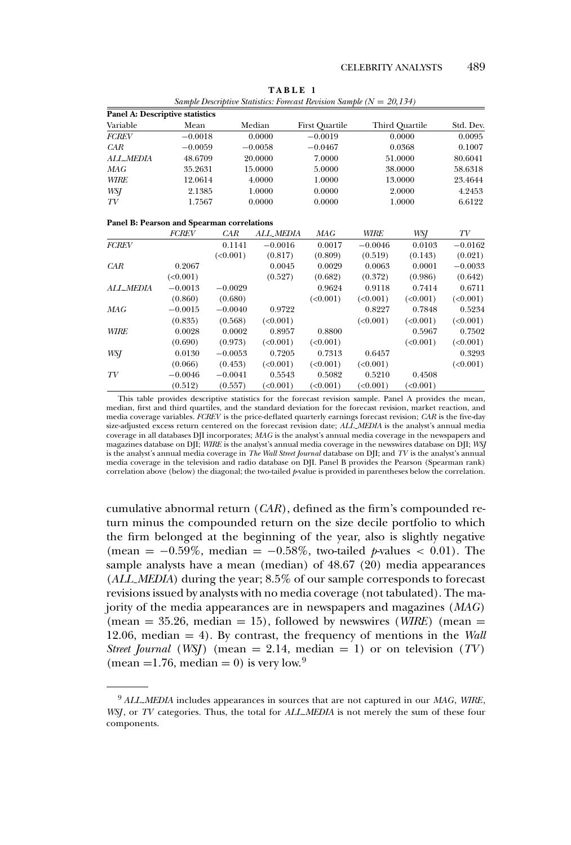| Panel A: Descriptive statistics            |              |           |                  |                       |             |                |           |
|--------------------------------------------|--------------|-----------|------------------|-----------------------|-------------|----------------|-----------|
| Variable                                   | Mean         | Median    |                  | <b>First Quartile</b> |             | Third Quartile |           |
| <b>FCREV</b>                               | $-0.0018$    |           | 0.0000           | $-0.0019$             |             | 0.0000         | 0.0095    |
| CAR                                        | $-0.0059$    |           | $-0.0058$        | $-0.0467$             |             | 0.0368         | 0.1007    |
| <b>ALL_MEDIA</b>                           | 48.6709      |           | 20.0000          | 7.0000                |             | 51.0000        | 80.6041   |
| MAG                                        | 35.2631      |           | 15.0000          | 5.0000                |             | 38,0000        | 58.6318   |
| <b>WIRE</b>                                | 12.0614      |           | 4.0000           | 1.0000                |             | 13.0000        | 23.4644   |
| WSJ                                        | 2.1385       |           | 1.0000           | 0.0000                |             | 2.0000         | 4.2453    |
| TV                                         | 1.7567       |           | 0.0000           | 0.0000                |             | 1.0000         | 6.6122    |
| Panel B: Pearson and Spearman correlations |              |           |                  |                       |             |                |           |
|                                            | <b>FCREV</b> | CAR       | <b>ALL MEDIA</b> | MAG                   | <b>WIRE</b> | WSJ            | TV        |
| <b>FCREV</b>                               |              | 0.1141    | $-0.0016$        | 0.0017                | $-0.0046$   | 0.0103         | $-0.0162$ |
|                                            |              | (<0.001)  | (0.817)          | (0.809)               | (0.519)     | (0.143)        | (0.021)   |
| CAR                                        | 0.2067       |           | 0.0045           | 0.0029                | 0.0063      | 0.0001         | $-0.0033$ |
|                                            | (<0.001)     |           | (0.527)          | (0.682)               | (0.372)     | (0.986)        | (0.642)   |
| <b>ALL_MEDIA</b>                           | $-0.0013$    | $-0.0029$ |                  | 0.9624                | 0.9118      | 0.7414         | 0.6711    |
|                                            | (0.860)      | (0.680)   |                  | (<0.001)              | (<0.001)    | (<0.001)       | (<0.001)  |
| MAG                                        | $-0.0015$    | $-0.0040$ | 0.9722           |                       | 0.8227      | 0.7848         | 0.5234    |
|                                            | (0.835)      | (0.568)   | (<0.001)         |                       | (<0.001)    | (<0.001)       | (<0.001)  |
| <b>WIRE</b>                                | 0.0028       | 0.0002    | 0.8957           | 0.8800                |             | 0.5967         | 0.7502    |
|                                            | (0.690)      | (0.973)   | (<0.001)         | (<0.001)              |             | (<0.001)       | (<0.001)  |
| WSJ                                        | 0.0130       | $-0.0053$ | 0.7205           | 0.7313                | 0.6457      |                | 0.3293    |
|                                            | (0.066)      | (0.453)   | (<0.001)         | (<0.001)              | (<0.001)    |                | (<0.001)  |
| TV                                         | $-0.0046$    | $-0.0041$ | 0.5543           | 0.5082                | 0.5210      | 0.4508         |           |
|                                            | (0.512)      | (0.557)   | (<0.001)         | (<0.001)              | (<0.001)    | (<0.001)       |           |

**TABLE 1** *Sample Descriptive Statistics: Forecast Revision Sample (N* = *20,134)*

This table provides descriptive statistics for the forecast revision sample. Panel A provides the mean, median, first and third quartiles, and the standard deviation for the forecast revision, market reaction, and media coverage variables. *FCREV* is the price-deflated quarterly earnings forecast revision; *CAR* is the five-day size-adjusted excess return centered on the forecast revision date; *ALL MEDIA* is the analyst's annual media coverage in all databases DJI incorporates; *MAG* is the analyst's annual media coverage in the newspapers and magazines database on DJI; *WIRE* is the analyst's annual media coverage in the newswires database on DJI; *WSJ* is the analyst's annual media coverage in *The Wall Street Journal* database on DJI; and *TV* is the analyst's annual media coverage in the television and radio database on DJI. Panel B provides the Pearson (Spearman rank) correlation above (below) the diagonal; the two-tailed *p*-value is provided in parentheses below the correlation.

cumulative abnormal return (*CAR*), defined as the firm's compounded return minus the compounded return on the size decile portfolio to which the firm belonged at the beginning of the year, also is slightly negative (mean = −0.59%, median = −0.58%, two-tailed *p*-values < 0.01). The sample analysts have a mean (median) of 48.67 (20) media appearances (*ALL MEDIA*) during the year; 8.5% of our sample corresponds to forecast revisions issued by analysts with no media coverage (not tabulated). The majority of the media appearances are in newspapers and magazines (*MAG*) (mean  $= 35.26$ , median  $= 15$ ), followed by newswires (*WIRE*) (mean  $=$ 12.06, median = 4). By contrast, the frequency of mentions in the *Wall Street Journal* (*WSJ*) (mean = 2.14, median = 1) or on television (*TV*) (mean =1.76, median = 0) is very low.<sup>9</sup>

<sup>9</sup> *ALL MEDIA* includes appearances in sources that are not captured in our *MAG*, *WIRE*, *WSJ* , or *TV* categories. Thus, the total for *ALL MEDIA* is not merely the sum of these four components.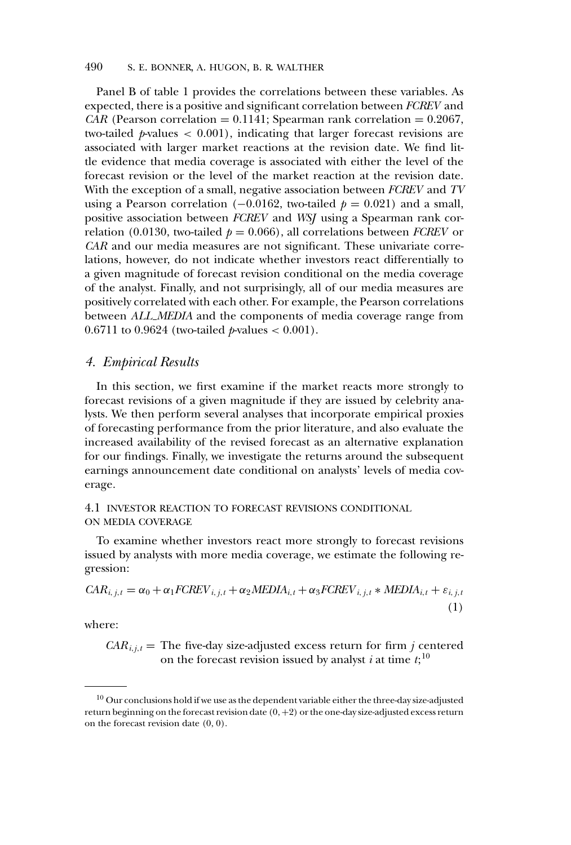## 490 S. E. BONNER, A. HUGON, B. R. WALTHER

Panel B of table 1 provides the correlations between these variables. As expected, there is a positive and significant correlation between *FCREV* and *CAR* (Pearson correlation =  $0.1141$ ; Spearman rank correlation =  $0.2067$ , two-tailed  $p$ -values  $\lt$  0.001), indicating that larger forecast revisions are associated with larger market reactions at the revision date. We find little evidence that media coverage is associated with either the level of the forecast revision or the level of the market reaction at the revision date. With the exception of a small, negative association between *FCREV* and *TV* using a Pearson correlation ( $-0.0162$ , two-tailed  $p = 0.021$ ) and a small, positive association between *FCREV* and *WSJ* using a Spearman rank correlation (0.0130, two-tailed  $p = 0.066$ ), all correlations between *FCREV* or *CAR* and our media measures are not significant. These univariate correlations, however, do not indicate whether investors react differentially to a given magnitude of forecast revision conditional on the media coverage of the analyst. Finally, and not surprisingly, all of our media measures are positively correlated with each other. For example, the Pearson correlations between *ALL MEDIA* and the components of media coverage range from 0.6711 to 0.9624 (two-tailed *p*-values < 0.001).

# *4. Empirical Results*

In this section, we first examine if the market reacts more strongly to forecast revisions of a given magnitude if they are issued by celebrity analysts. We then perform several analyses that incorporate empirical proxies of forecasting performance from the prior literature, and also evaluate the increased availability of the revised forecast as an alternative explanation for our findings. Finally, we investigate the returns around the subsequent earnings announcement date conditional on analysts' levels of media coverage.

# 4.1 INVESTOR REACTION TO FORECAST REVISIONS CONDITIONAL ON MEDIA COVERAGE

To examine whether investors react more strongly to forecast revisions issued by analysts with more media coverage, we estimate the following regression:

$$
CAR_{i,j,t} = \alpha_0 + \alpha_1 FCREV_{i,j,t} + \alpha_2 MEDIA_{i,t} + \alpha_3 FCREV_{i,j,t} * MEDIA_{i,t} + \varepsilon_{i,j,t}
$$
\n(1)

where:

 $CAR_{i,i,t}$  = The five-day size-adjusted excess return for firm *j* centered on the forecast revision issued by analyst *i* at time  $t;^{10}$ 

 $10$  Our conclusions hold if we use as the dependent variable either the three-day size-adjusted return beginning on the forecast revision date  $(0, +2)$  or the one-day size-adjusted excess return on the forecast revision date (0, 0).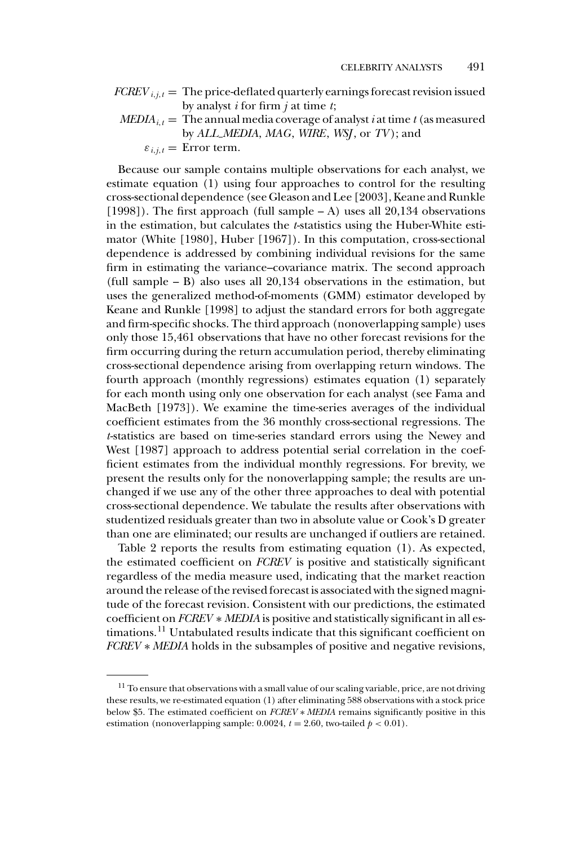- *FCREV*  $i<sub>i</sub>$ ,  $t$  = The price-deflated quarterly earnings forecast revision issued by analyst *i* for firm *j* at time *t*;
- $MEDIA_{i,t}$  = The annual media coverage of analyst *i* at time *t* (as measured by *ALL MEDIA*, *MAG*, *WIRE*, *WSJ* , or *TV* ); and  $\varepsilon_{i,i,t}$  = Error term.

Because our sample contains multiple observations for each analyst, we estimate equation (1) using four approaches to control for the resulting cross-sectional dependence (see Gleason and Lee [2003], Keane and Runkle [1998]). The first approach (full sample – A) uses all 20,134 observations in the estimation, but calculates the *t*-statistics using the Huber-White estimator (White [1980], Huber [1967]). In this computation, cross-sectional dependence is addressed by combining individual revisions for the same firm in estimating the variance–covariance matrix. The second approach (full sample – B) also uses all 20,134 observations in the estimation, but uses the generalized method-of-moments (GMM) estimator developed by Keane and Runkle [1998] to adjust the standard errors for both aggregate and firm-specific shocks. The third approach (nonoverlapping sample) uses only those 15,461 observations that have no other forecast revisions for the firm occurring during the return accumulation period, thereby eliminating cross-sectional dependence arising from overlapping return windows. The fourth approach (monthly regressions) estimates equation (1) separately for each month using only one observation for each analyst (see Fama and MacBeth [1973]). We examine the time-series averages of the individual coefficient estimates from the 36 monthly cross-sectional regressions. The *t*-statistics are based on time-series standard errors using the Newey and West [1987] approach to address potential serial correlation in the coefficient estimates from the individual monthly regressions. For brevity, we present the results only for the nonoverlapping sample; the results are unchanged if we use any of the other three approaches to deal with potential cross-sectional dependence. We tabulate the results after observations with studentized residuals greater than two in absolute value or Cook's D greater than one are eliminated; our results are unchanged if outliers are retained.

Table 2 reports the results from estimating equation (1). As expected, the estimated coefficient on *FCREV* is positive and statistically significant regardless of the media measure used, indicating that the market reaction around the release of the revised forecast is associated with the signed magnitude of the forecast revision. Consistent with our predictions, the estimated coefficient on *FCREV* ∗ *MEDIA* is positive and statistically significant in all estimations.<sup>11</sup> Untabulated results indicate that this significant coefficient on *FCREV* ∗ *MEDIA* holds in the subsamples of positive and negative revisions,

 $11$  To ensure that observations with a small value of our scaling variable, price, are not driving these results, we re-estimated equation (1) after eliminating 588 observations with a stock price below \$5. The estimated coefficient on *FCREV* ∗ *MEDIA* remains significantly positive in this estimation (nonoverlapping sample:  $0.0024$ ,  $t = 2.60$ , two-tailed  $p < 0.01$ ).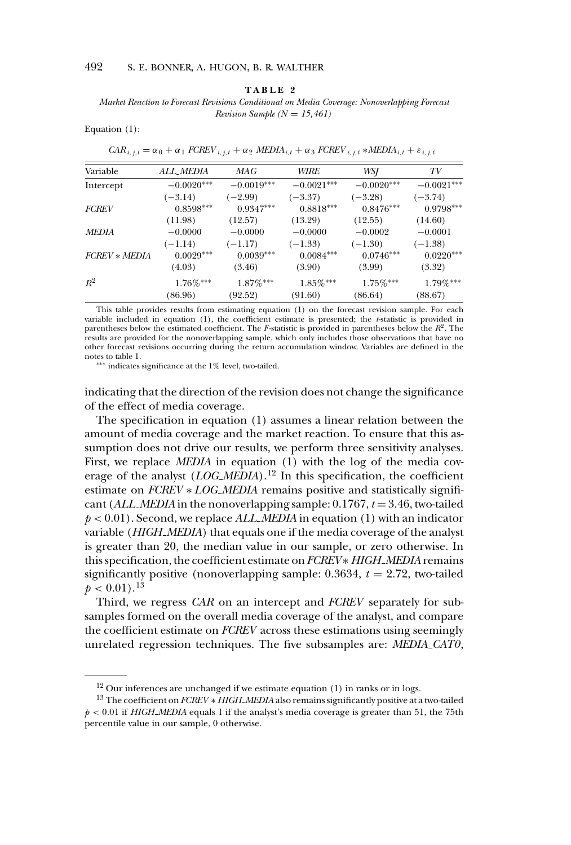#### **TABLE 2**

*Market Reaction to Forecast Revisions Conditional on Media Coverage: Nonoverlapping Forecast Revision Sample (N* = *15,461)*

Equation (1):

| Variable             | ALL_MEDIA    | MAG          | WIRE         | WSJ          | TV           |
|----------------------|--------------|--------------|--------------|--------------|--------------|
| Intercept            | $-0.0020***$ | $-0.0019***$ | $-0.0021***$ | $-0.0020***$ | $-0.0021***$ |
|                      | $(-3.14)$    | $(-2.99)$    | $(-3.37)$    | $(-3.28)$    | $(-3.74)$    |
| <b>FCREV</b>         | $0.8598***$  | $0.9347***$  | $0.8818***$  | $0.8476***$  | $0.9798***$  |
|                      | (11.98)      | (12.57)      | (13.29)      | (12.55)      | (14.60)      |
| <b>MEDIA</b>         | $-0.0000$    | $-0.0000$    | $-0.0000$    | $-0.0002$    | $-0.0001$    |
|                      | $(-1.14)$    | $(-1.17)$    | $(-1.33)$    | $(-1.30)$    | $(-1.38)$    |
| <b>FCREV * MEDIA</b> | $0.0029***$  | $0.0039***$  | $0.0084***$  | $0.0746***$  | $0.0220***$  |
|                      | (4.03)       | (3.46)       | (3.90)       | (3.99)       | (3.32)       |
| $R^2$                | $1.76\%***$  | $1.87\%***$  | $1.85\%***$  | $1.75\%***$  | $1.79\%***$  |
|                      | (86.96)      | (92.52)      | (91.60)      | (86.64)      | (88.67)      |

 $CAR_{i,i,t} = \alpha_0 + \alpha_1$   $FCREV_{i,i,t} + \alpha_2$   $MEDIA_{i,t} + \alpha_3$   $FCREV_{i,i,t} * MEDIA_{i,t} + \varepsilon_{i,i,t}$ 

This table provides results from estimating equation (1) on the forecast revision sample. For each variable included in equation (1), the coefficient estimate is presented; the *t*-statistic is provided in parentheses below the estimated coefficient. The *F*-statistic is provided in parentheses below the *R*<sup>2</sup>. The results are provided for the nonoverlapping sample, which only includes those observations that have no other forecast revisions occurring during the return accumulation window. Variables are defined in the notes to table 1.

∗∗∗ indicates significance at the 1% level, two-tailed.

indicating that the direction of the revision does not change the significance of the effect of media coverage.

The specification in equation (1) assumes a linear relation between the amount of media coverage and the market reaction. To ensure that this assumption does not drive our results, we perform three sensitivity analyses. First, we replace *MEDIA* in equation (1) with the log of the media coverage of the analyst  $(LOG-MEDIA).<sup>12</sup>$  In this specification, the coefficient estimate on *FCREV* ∗ *LOG MEDIA* remains positive and statistically significant ( $ALL$  *MEDIA* in the nonoverlapping sample:  $0.1767$ ,  $t = 3.46$ , two-tailed *p* < 0.01). Second, we replace *ALL MEDIA* in equation (1) with an indicator variable (*HIGH MEDIA*) that equals one if the media coverage of the analyst is greater than 20, the median value in our sample, or zero otherwise. In this specification, the coefficient estimate on *FCREV* ∗ *HIGH MEDIA* remains significantly positive (nonoverlapping sample:  $0.3634$ ,  $t = 2.72$ , two-tailed  $p < 0.01$ ).<sup>13</sup>

Third, we regress *CAR* on an intercept and *FCREV* separately for subsamples formed on the overall media coverage of the analyst, and compare the coefficient estimate on *FCREV* across these estimations using seemingly unrelated regression techniques. The five subsamples are: *MEDIA CAT0*,

 $12$  Our inferences are unchanged if we estimate equation (1) in ranks or in logs.

<sup>13</sup> The coefficient on *FCREV* <sup>∗</sup> *HIGH MEDIA* also remains significantly positive at a two-tailed  $p < 0.01$  if *HIGH\_MEDIA* equals 1 if the analyst's media coverage is greater than 51, the 75th percentile value in our sample, 0 otherwise.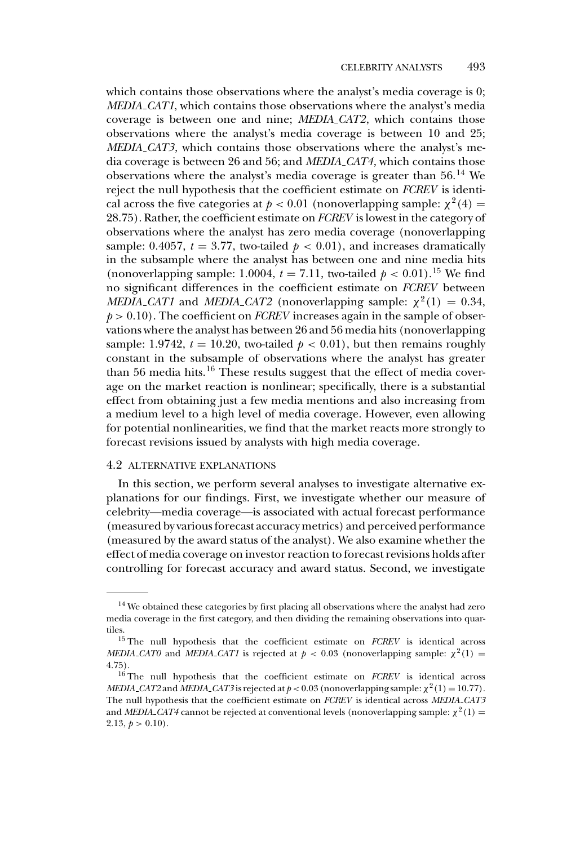which contains those observations where the analyst's media coverage is 0; *MEDIA CAT1*, which contains those observations where the analyst's media coverage is between one and nine; *MEDIA CAT2*, which contains those observations where the analyst's media coverage is between 10 and 25; *MEDIA CAT3*, which contains those observations where the analyst's media coverage is between 26 and 56; and *MEDIA CAT4*, which contains those observations where the analyst's media coverage is greater than  $56<sup>14</sup>$  We reject the null hypothesis that the coefficient estimate on *FCREV* is identical across the five categories at  $p < 0.01$  (nonoverlapping sample:  $\chi^2(4)$  = 28.75). Rather, the coefficient estimate on *FCREV* is lowest in the category of observations where the analyst has zero media coverage (nonoverlapping sample: 0.4057,  $t = 3.77$ , two-tailed  $p < 0.01$ ), and increases dramatically in the subsample where the analyst has between one and nine media hits (nonoverlapping sample: 1.0004,  $t = 7.11$ , two-tailed  $p < 0.01$ ).<sup>15</sup> We find no significant differences in the coefficient estimate on *FCREV* between *MEDIA CAT1* and *MEDIA CAT2* (nonoverlapping sample:  $\chi^2(1) = 0.34$ ,  $p > 0.10$ ). The coefficient on *FCREV* increases again in the sample of observations where the analyst has between 26 and 56 media hits (nonoverlapping sample: 1.9742,  $t = 10.20$ , two-tailed  $p < 0.01$ ), but then remains roughly constant in the subsample of observations where the analyst has greater than 56 media hits.<sup>16</sup> These results suggest that the effect of media coverage on the market reaction is nonlinear; specifically, there is a substantial effect from obtaining just a few media mentions and also increasing from a medium level to a high level of media coverage. However, even allowing for potential nonlinearities, we find that the market reacts more strongly to forecast revisions issued by analysts with high media coverage.

# 4.2 ALTERNATIVE EXPLANATIONS

In this section, we perform several analyses to investigate alternative explanations for our findings. First, we investigate whether our measure of celebrity—media coverage—is associated with actual forecast performance (measured by various forecast accuracy metrics) and perceived performance (measured by the award status of the analyst). We also examine whether the effect of media coverage on investor reaction to forecast revisions holds after controlling for forecast accuracy and award status. Second, we investigate

<sup>&</sup>lt;sup>14</sup> We obtained these categories by first placing all observations where the analyst had zero media coverage in the first category, and then dividing the remaining observations into quartiles.

<sup>&</sup>lt;sup>15</sup> The null hypothesis that the coefficient estimate on *FCREV* is identical across *MEDIA CAT0* and *MEDIA CAT1* is rejected at  $p < 0.03$  (nonoverlapping sample:  $\chi^2(1)$  = 4.75).

<sup>16</sup> The null hypothesis that the coefficient estimate on *FCREV* is identical across *MEDIA CAT2* and *MEDIA CAT3* is rejected at  $p < 0.03$  (nonoverlapping sample:  $\chi^2(1) = 10.77$ ). The null hypothesis that the coefficient estimate on *FCREV* is identical across *MEDIA CAT3* and *MEDIA CAT4* cannot be rejected at conventional levels (nonoverlapping sample:  $\chi^2(1)$  = 2.13,  $p > 0.10$ ).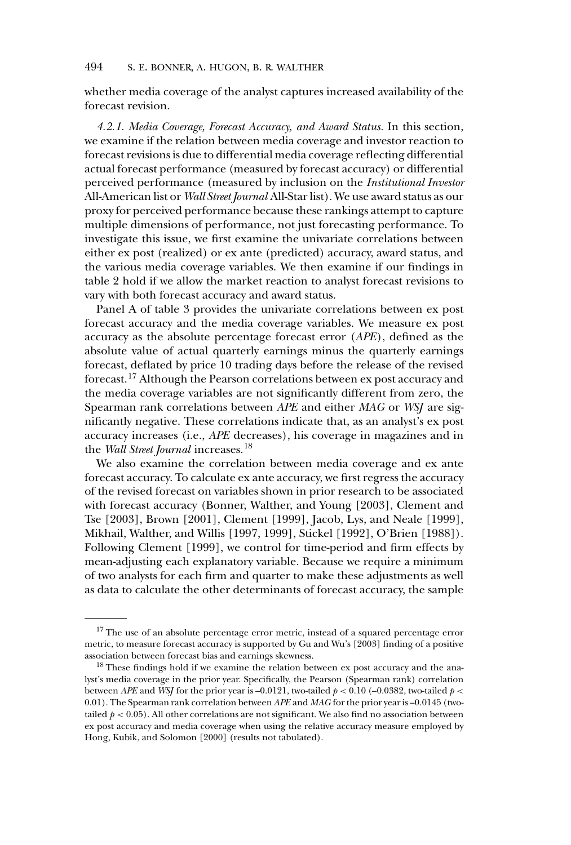whether media coverage of the analyst captures increased availability of the forecast revision.

*4.2.1. Media Coverage, Forecast Accuracy, and Award Status.* In this section, we examine if the relation between media coverage and investor reaction to forecast revisions is due to differential media coverage reflecting differential actual forecast performance (measured by forecast accuracy) or differential perceived performance (measured by inclusion on the *Institutional Investor* All-American list or *Wall Street Journal* All-Star list). We use award status as our proxy for perceived performance because these rankings attempt to capture multiple dimensions of performance, not just forecasting performance. To investigate this issue, we first examine the univariate correlations between either ex post (realized) or ex ante (predicted) accuracy, award status, and the various media coverage variables. We then examine if our findings in table 2 hold if we allow the market reaction to analyst forecast revisions to vary with both forecast accuracy and award status.

Panel A of table 3 provides the univariate correlations between ex post forecast accuracy and the media coverage variables. We measure ex post accuracy as the absolute percentage forecast error (*APE*), defined as the absolute value of actual quarterly earnings minus the quarterly earnings forecast, deflated by price 10 trading days before the release of the revised forecast.<sup>17</sup> Although the Pearson correlations between ex post accuracy and the media coverage variables are not significantly different from zero, the Spearman rank correlations between *APE* and either *MAG* or *WSJ* are significantly negative. These correlations indicate that, as an analyst's ex post accuracy increases (i.e., *APE* decreases), his coverage in magazines and in the *Wall Street Journal* increases.<sup>18</sup>

We also examine the correlation between media coverage and ex ante forecast accuracy. To calculate ex ante accuracy, we first regress the accuracy of the revised forecast on variables shown in prior research to be associated with forecast accuracy (Bonner, Walther, and Young [2003], Clement and Tse [2003], Brown [2001], Clement [1999], Jacob, Lys, and Neale [1999], Mikhail, Walther, and Willis [1997, 1999], Stickel [1992], O'Brien [1988]). Following Clement [1999], we control for time-period and firm effects by mean-adjusting each explanatory variable. Because we require a minimum of two analysts for each firm and quarter to make these adjustments as well as data to calculate the other determinants of forecast accuracy, the sample

<sup>&</sup>lt;sup>17</sup> The use of an absolute percentage error metric, instead of a squared percentage error metric, to measure forecast accuracy is supported by Gu and Wu's [2003] finding of a positive association between forecast bias and earnings skewness.

<sup>&</sup>lt;sup>18</sup> These findings hold if we examine the relation between ex post accuracy and the analyst's media coverage in the prior year. Specifically, the Pearson (Spearman rank) correlation between *APE* and *WSJ* for the prior year is –0.0121, two-tailed *p* < 0.10 (–0.0382, two-tailed *p* < 0.01). The Spearman rank correlation between *APE* and *MAG* for the prior year is –0.0145 (twotailed  $p < 0.05$ ). All other correlations are not significant. We also find no association between ex post accuracy and media coverage when using the relative accuracy measure employed by Hong, Kubik, and Solomon [2000] (results not tabulated).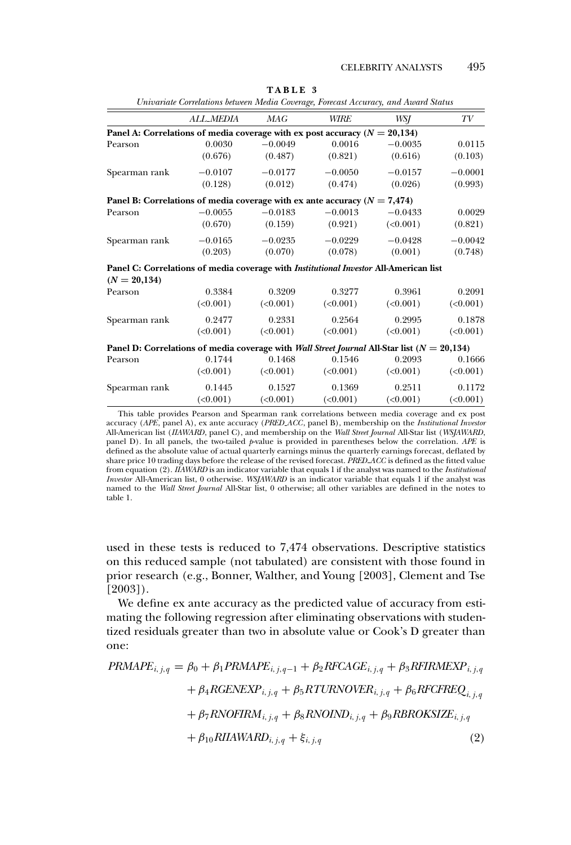|                                                                                                 | Univariate Correlations between Media Coverage, Forecast Accuracy, and Award Status |           |             |           |           |
|-------------------------------------------------------------------------------------------------|-------------------------------------------------------------------------------------|-----------|-------------|-----------|-----------|
|                                                                                                 | ALL_MEDIA                                                                           | MAG       | <b>WIRE</b> | WSJ       | TV        |
| Panel A: Correlations of media coverage with ex post accuracy ( $N = 20,134$ )                  |                                                                                     |           |             |           |           |
| Pearson                                                                                         | 0.0030                                                                              | $-0.0049$ | 0.0016      | $-0.0035$ | 0.0115    |
|                                                                                                 | (0.676)                                                                             | (0.487)   | (0.821)     | (0.616)   | (0.103)   |
| Spearman rank                                                                                   | $-0.0107$                                                                           | $-0.0177$ | $-0.0050$   | $-0.0157$ | $-0.0001$ |
|                                                                                                 | (0.128)                                                                             | (0.012)   | (0.474)     | (0.026)   | (0.993)   |
| Panel B: Correlations of media coverage with ex ante accuracy $(N = 7,474)$                     |                                                                                     |           |             |           |           |
| Pearson                                                                                         | $-0.0055$                                                                           | $-0.0183$ | $-0.0013$   | $-0.0433$ | 0.0029    |
|                                                                                                 | (0.670)                                                                             | (0.159)   | (0.921)     | (<0.001)  | (0.821)   |
| Spearman rank                                                                                   | $-0.0165$                                                                           | $-0.0235$ | $-0.0229$   | $-0.0428$ | $-0.0042$ |
|                                                                                                 | (0.203)                                                                             | (0.070)   | (0.078)     | (0.001)   | (0.748)   |
| Panel C: Correlations of media coverage with Institutional Investor All-American list           |                                                                                     |           |             |           |           |
| $(N = 20, 134)$                                                                                 |                                                                                     |           |             |           |           |
| Pearson                                                                                         | 0.3384                                                                              | 0.3209    | 0.3277      | 0.3961    | 0.2091    |
|                                                                                                 | (<0.001)                                                                            | (<0.001)  | (<0.001)    | (<0.001)  | (<0.001)  |
| Spearman rank                                                                                   | 0.2477                                                                              | 0.2331    | 0.2564      | 0.2995    | 0.1878    |
|                                                                                                 | (<0.001)                                                                            | (<0.001)  | (<0.001)    | (<0.001)  | (<0.001)  |
| Panel D: Correlations of media coverage with Wall Street Journal All-Star list ( $N = 20,134$ ) |                                                                                     |           |             |           |           |
| Pearson                                                                                         | 0.1744                                                                              | 0.1468    | 0.1546      | 0.2093    | 0.1666    |
|                                                                                                 | (<0.001)                                                                            | (<0.001)  | (<0.001)    | (<0.001)  | (<0.001)  |
| Spearman rank                                                                                   | 0.1445                                                                              | 0.1527    | 0.1369      | 0.2511    | 0.1172    |
|                                                                                                 | (<0.001)                                                                            | (<0.001)  | (<0.001)    | (<0.001)  | (<0.001)  |

**TABLE 3**

This table provides Pearson and Spearman rank correlations between media coverage and ex post accuracy (*APE*, panel A), ex ante accuracy (*PRED ACC*, panel B), membership on the *Institutional Investor* All-American list (*IIAWARD*, panel C), and membership on the *Wall Street Journal* All-Star list (*WSJAWARD*, panel D). In all panels, the two-tailed *p*-value is provided in parentheses below the correlation. *APE* is defined as the absolute value of actual quarterly earnings minus the quarterly earnings forecast, deflated by share price 10 trading days before the release of the revised forecast. *PRED ACC* is defined as the fitted value from equation (2). *IIAWARD* is an indicator variable that equals 1 if the analyst was named to the *Institutional Investor* All-American list, 0 otherwise. *WSJAWARD* is an indicator variable that equals 1 if the analyst was named to the *Wall Street Journal* All-Star list, 0 otherwise; all other variables are defined in the notes to table 1.

used in these tests is reduced to 7,474 observations. Descriptive statistics on this reduced sample (not tabulated) are consistent with those found in prior research (e.g., Bonner, Walther, and Young [2003], Clement and Tse [2003]).

We define ex ante accuracy as the predicted value of accuracy from estimating the following regression after eliminating observations with studentized residuals greater than two in absolute value or Cook's D greater than one:

$$
PRMAPE_{i,j,q} = \beta_0 + \beta_1 PRMAPE_{i,j,q-1} + \beta_2 RFCAGE_{i,j,q} + \beta_3 R FIRMEXP_{i,j,q}
$$
  
+  $\beta_4 RGENEXP_{i,j,q} + \beta_5 RTURNOVER_{i,j,q} + \beta_6 RFCFREQ_{i,j,q}$   
+  $\beta_7 RNOFIRM_{i,j,q} + \beta_8 RNOIND_{i,j,q} + \beta_9 RBROKSIZE_{i,j,q}$   
+  $\beta_{10} RIIAWARD_{i,j,q} + \xi_{i,j,q}$  (2)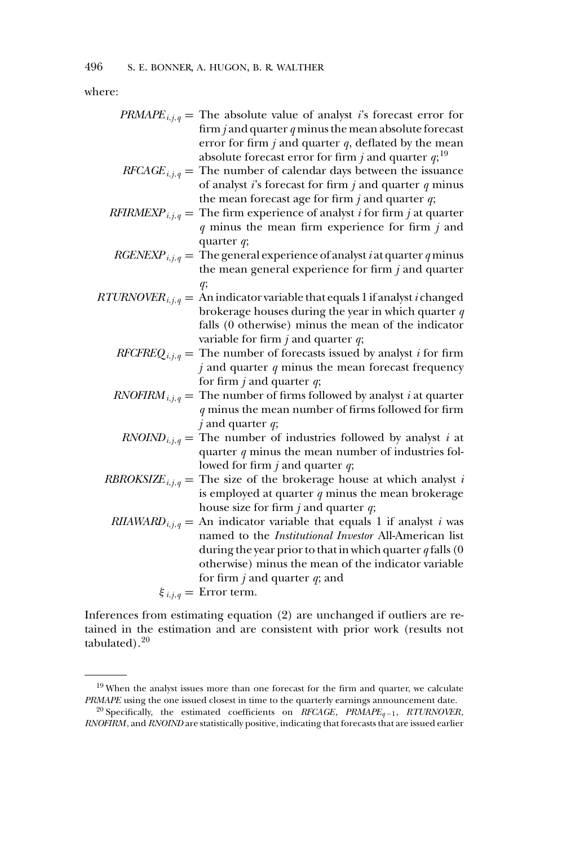where:

- *PRMAPE*<sub>*i*,*j*,*q*</sub> = The absolute value of analyst *i*'s forecast error for firm *j* and quarter *q* minus the mean absolute forecast error for firm *j* and quarter *q*, deflated by the mean absolute forecast error for firm  $j$  and quarter  $q;$ <sup>19</sup>
- *RFCAGE*<sub>*i*,*i*, $q$  = The number of calendar days between the issuance</sub> of analyst *i*'s forecast for firm *j* and quarter *q* minus the mean forecast age for firm *j* and quarter *q*;
- *RFIRMEXP*<sub>*i*,*i*, $q$  = The firm experience of analyst *i* for firm *j* at quarter</sub> *q* minus the mean firm experience for firm *j* and quarter *q*;
- *RGENEXP*<sub>*i*,*j*, $q$  = The general experience of analyst *i* at quarter *q* minus</sub> the mean general experience for firm *j* and quarter *q*;
- *RTURNOVER*<sub>*i,j,q*</sub> = An indicator variable that equals 1 if analyst *i* changed brokerage houses during the year in which quarter *q* falls (0 otherwise) minus the mean of the indicator variable for firm *j* and quarter *q*;
	- *RFCFREQ*<sub>*i*,*i*, $q$  = The number of forecasts issued by analyst *i* for firm</sub> *j* and quarter *q* minus the mean forecast frequency for firm *j* and quarter *q*;
	- *RNOFIRM*  $i, j, q$  = The number of firms followed by analyst *i* at quarter *q* minus the mean number of firms followed for firm *j* and quarter *q*;
	- *RNOIND*<sub>*i*,*j*,*q*</sub> = The number of industries followed by analyst *i* at quarter *q* minus the mean number of industries followed for firm *j* and quarter *q*;
	- *RBROKSIZE*<sub>*i*,*j*,*q*</sub> = The size of the brokerage house at which analyst *i* is employed at quarter *q* minus the mean brokerage house size for firm *j* and quarter *q*;
		- *RIIAWARD*<sub>*i*,*j*</sub> = An indicator variable that equals 1 if analyst *i* was named to the *Institutional Investor* All-American list during the year prior to that in which quarter *q* falls (0 otherwise) minus the mean of the indicator variable for firm *j* and quarter *q*; and

 $\xi_{i,i,q}$  = Error term.

Inferences from estimating equation (2) are unchanged if outliers are retained in the estimation and are consistent with prior work (results not tabulated).<sup>20</sup>

<sup>&</sup>lt;sup>19</sup> When the analyst issues more than one forecast for the firm and quarter, we calculate *PRMAPE* using the one issued closest in time to the quarterly earnings announcement date.

<sup>&</sup>lt;sup>20</sup> Specifically, the estimated coefficients on *RFCAGE*, *PRMAPE<sub>a−1</sub>*, *RTURNOVER*, *RNOFIRM*, and *RNOIND* are statistically positive, indicating that forecasts that are issued earlier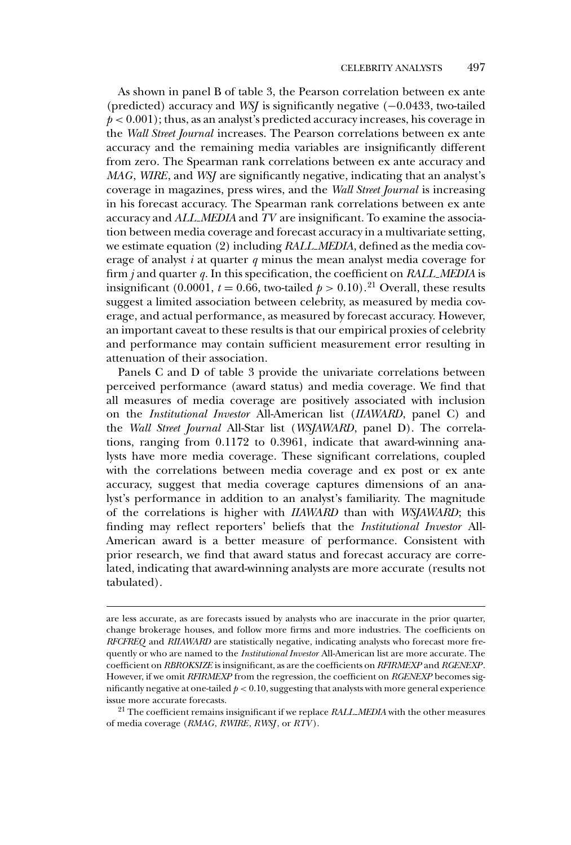As shown in panel B of table 3, the Pearson correlation between ex ante (predicted) accuracy and *WSJ* is significantly negative (−0.0433, two-tailed  $p < 0.001$ ); thus, as an analyst's predicted accuracy increases, his coverage in the *Wall Street Journal* increases. The Pearson correlations between ex ante accuracy and the remaining media variables are insignificantly different from zero. The Spearman rank correlations between ex ante accuracy and *MAG*, *WIRE*, and *WSJ* are significantly negative, indicating that an analyst's coverage in magazines, press wires, and the *Wall Street Journal* is increasing in his forecast accuracy. The Spearman rank correlations between ex ante accuracy and *ALL MEDIA* and *TV* are insignificant. To examine the association between media coverage and forecast accuracy in a multivariate setting, we estimate equation (2) including *RALL MEDIA*, defined as the media coverage of analyst *i* at quarter *q* minus the mean analyst media coverage for firm *j* and quarter *q*. In this specification, the coefficient on *RALL MEDIA* is insignificant (0.0001,  $t = 0.66$ , two-tailed  $p > 0.10$ ).<sup>21</sup> Overall, these results suggest a limited association between celebrity, as measured by media coverage, and actual performance, as measured by forecast accuracy. However, an important caveat to these results is that our empirical proxies of celebrity and performance may contain sufficient measurement error resulting in attenuation of their association.

Panels C and D of table 3 provide the univariate correlations between perceived performance (award status) and media coverage. We find that all measures of media coverage are positively associated with inclusion on the *Institutional Investor* All-American list (*IIAWARD*, panel C) and the *Wall Street Journal* All-Star list (*WSJAWARD*, panel D). The correlations, ranging from 0.1172 to 0.3961, indicate that award-winning analysts have more media coverage. These significant correlations, coupled with the correlations between media coverage and ex post or ex ante accuracy, suggest that media coverage captures dimensions of an analyst's performance in addition to an analyst's familiarity. The magnitude of the correlations is higher with *IIAWARD* than with *WSJAWARD*; this finding may reflect reporters' beliefs that the *Institutional Investor* All-American award is a better measure of performance. Consistent with prior research, we find that award status and forecast accuracy are correlated, indicating that award-winning analysts are more accurate (results not tabulated).

are less accurate, as are forecasts issued by analysts who are inaccurate in the prior quarter, change brokerage houses, and follow more firms and more industries. The coefficients on *RFCFREQ* and *RIIAWARD* are statistically negative, indicating analysts who forecast more frequently or who are named to the *Institutional Investor* All-American list are more accurate. The coefficient on *RBROKSIZE* is insignificant, as are the coefficients on *RFIRMEXP* and *RGENEXP*. However, if we omit *RFIRMEXP* from the regression, the coefficient on *RGENEXP* becomes significantly negative at one-tailed  $p < 0.10$ , suggesting that analysts with more general experience issue more accurate forecasts.

<sup>21</sup> The coefficient remains insignificant if we replace *RALL MEDIA* with the other measures of media coverage (*RMAG*, *RWIRE*, *RWSJ* , or *RTV* ).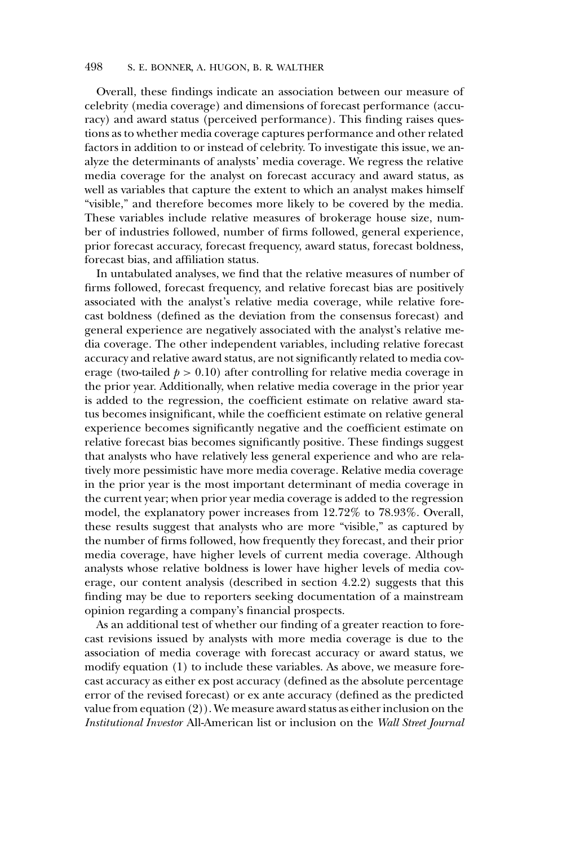# 498 S. E. BONNER, A. HUGON, B. R. WALTHER

Overall, these findings indicate an association between our measure of celebrity (media coverage) and dimensions of forecast performance (accuracy) and award status (perceived performance). This finding raises questions as to whether media coverage captures performance and other related factors in addition to or instead of celebrity. To investigate this issue, we analyze the determinants of analysts' media coverage. We regress the relative media coverage for the analyst on forecast accuracy and award status, as well as variables that capture the extent to which an analyst makes himself "visible," and therefore becomes more likely to be covered by the media. These variables include relative measures of brokerage house size, number of industries followed, number of firms followed, general experience, prior forecast accuracy, forecast frequency, award status, forecast boldness, forecast bias, and affiliation status.

In untabulated analyses, we find that the relative measures of number of firms followed, forecast frequency, and relative forecast bias are positively associated with the analyst's relative media coverage, while relative forecast boldness (defined as the deviation from the consensus forecast) and general experience are negatively associated with the analyst's relative media coverage. The other independent variables, including relative forecast accuracy and relative award status, are not significantly related to media coverage (two-tailed  $p > 0.10$ ) after controlling for relative media coverage in the prior year. Additionally, when relative media coverage in the prior year is added to the regression, the coefficient estimate on relative award status becomes insignificant, while the coefficient estimate on relative general experience becomes significantly negative and the coefficient estimate on relative forecast bias becomes significantly positive. These findings suggest that analysts who have relatively less general experience and who are relatively more pessimistic have more media coverage. Relative media coverage in the prior year is the most important determinant of media coverage in the current year; when prior year media coverage is added to the regression model, the explanatory power increases from 12.72% to 78.93%. Overall, these results suggest that analysts who are more "visible," as captured by the number of firms followed, how frequently they forecast, and their prior media coverage, have higher levels of current media coverage. Although analysts whose relative boldness is lower have higher levels of media coverage, our content analysis (described in section 4.2.2) suggests that this finding may be due to reporters seeking documentation of a mainstream opinion regarding a company's financial prospects.

As an additional test of whether our finding of a greater reaction to forecast revisions issued by analysts with more media coverage is due to the association of media coverage with forecast accuracy or award status, we modify equation (1) to include these variables. As above, we measure forecast accuracy as either ex post accuracy (defined as the absolute percentage error of the revised forecast) or ex ante accuracy (defined as the predicted value from equation (2)). We measure award status as either inclusion on the *Institutional Investor* All-American list or inclusion on the *Wall Street Journal*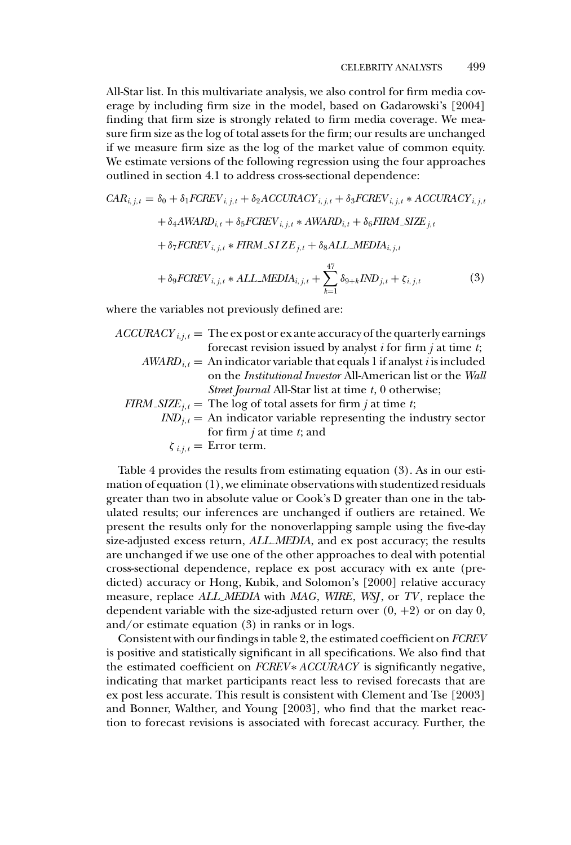All-Star list. In this multivariate analysis, we also control for firm media coverage by including firm size in the model, based on Gadarowski's [2004] finding that firm size is strongly related to firm media coverage. We measure firm size as the log of total assets for the firm; our results are unchanged if we measure firm size as the log of the market value of common equity. We estimate versions of the following regression using the four approaches outlined in section 4.1 to address cross-sectional dependence:

$$
CAR_{i,j,t} = \delta_0 + \delta_1 FCREV_{i,j,t} + \delta_2 ACCURACY_{i,j,t} + \delta_3 FCREV_{i,j,t} * ACCURACY_{i,j,t}
$$

$$
+ \delta_4 AWARD_{i,t} + \delta_5 FCREV_{i,j,t} * AWARD_{i,t} + \delta_6 FIRM_SIZE_{j,t}
$$

$$
+ \delta_7 FCREV_{i,j,t} * FIRM_SIZE_{j,t} + \delta_8 ALL_MEDIA_{i,j,t}
$$

$$
+ \delta_9 FCREV_{i,j,t} * ALL_MEDIA_{i,j,t} + \sum_{k=1}^{47} \delta_{9+k} IND_{j,t} + \zeta_{i,j,t}
$$
(3)

where the variables not previously defined are:

*ACCURACY <sup>i</sup>*,*j*,*<sup>t</sup>* = The ex post or ex ante accuracy of the quarterly earnings forecast revision issued by analyst *i* for firm *j* at time *t*; *AWARDi*,*<sup>t</sup>* = An indicator variable that equals 1 if analyst *i* is included on the *Institutional Investor* All-American list or the *Wall Street Journal* All-Star list at time *t*, 0 otherwise; *FIRM SIZEj*,*<sup>t</sup>* = The log of total assets for firm *j* at time *t*; *INDj*,*<sup>t</sup>* = An indicator variable representing the industry sector for firm *j* at time *t*; and ζ *<sup>i</sup>*,*j*,*<sup>t</sup>* = Error term.

Table 4 provides the results from estimating equation (3). As in our estimation of equation (1), we eliminate observations with studentized residuals greater than two in absolute value or Cook's D greater than one in the tabulated results; our inferences are unchanged if outliers are retained. We present the results only for the nonoverlapping sample using the five-day size-adjusted excess return, *ALL MEDIA*, and ex post accuracy; the results are unchanged if we use one of the other approaches to deal with potential cross-sectional dependence, replace ex post accuracy with ex ante (predicted) accuracy or Hong, Kubik, and Solomon's [2000] relative accuracy measure, replace *ALL MEDIA* with *MAG*, *WIRE*, *WSJ* , or *TV* , replace the dependent variable with the size-adjusted return over  $(0, +2)$  or on day 0, and/or estimate equation (3) in ranks or in logs.

Consistent with our findings in table 2, the estimated coefficient on *FCREV* is positive and statistically significant in all specifications. We also find that the estimated coefficient on *FCREV* ∗ *ACCURACY* is significantly negative, indicating that market participants react less to revised forecasts that are ex post less accurate. This result is consistent with Clement and Tse [2003] and Bonner, Walther, and Young [2003], who find that the market reaction to forecast revisions is associated with forecast accuracy. Further, the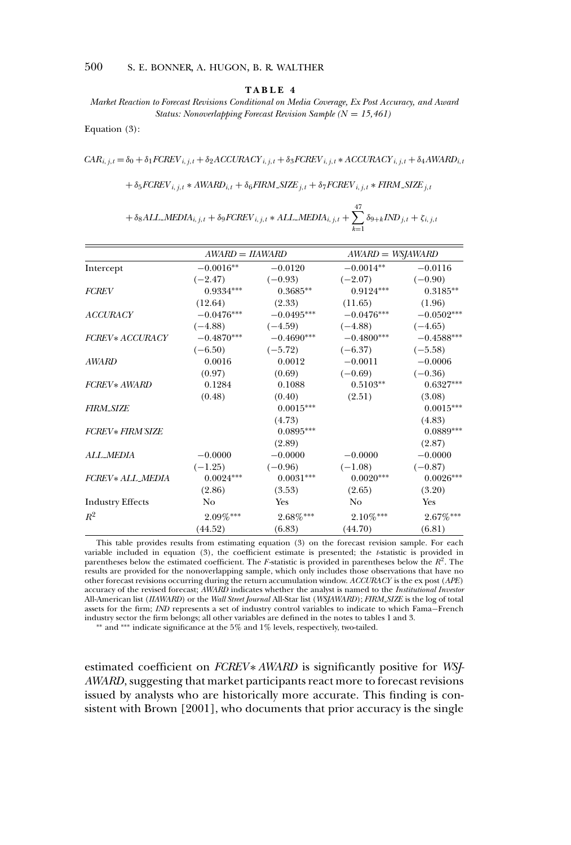#### **TABLE 4**

*Market Reaction to Forecast Revisions Conditional on Media Coverage, Ex Post Accuracy, and Award Status: Nonoverlapping Forecast Revision Sample (N* = *15,461)*

Equation (3):

 $CAR_{i, i, t} = \delta_0 + \delta_1 FCREV_{i, i, t} + \delta_2 ACCURACY_{i, i, t} + \delta_3 FCREV_{i, i, t} * ACCURACY_{i, i, t} + \delta_4 AWARD_{i, t}$ 

$$
+\ \textcolor{black}{\delta_5FCREV_{i,\:j,\:t}}*AWARD_{i,\:t}+\ \textcolor{black}{\delta_6FIRM\_SIZE_{\:j,\:t}}+\ \textcolor{black}{\delta_7FCREV_{i,\:j,\:t}}*FIRM\_SIZE_{\:j,\:t}\\
$$

$$
+\delta_8 ALL\_MEDIA_{i,j,t} + \delta_9 FCREV_{i,j,t}*ALL\_MEDIA_{i,j,t} + \sum_{k=1}^{47} \delta_{9+k} IND_{j,t} + \zeta_{i,j,t}
$$

|                         | $AWARD = IIAWARD$ |              | $AWARD = WSJAWARD$ |              |
|-------------------------|-------------------|--------------|--------------------|--------------|
| Intercept               | $-0.0016**$       | $-0.0120$    | $-0.0014**$        | $-0.0116$    |
|                         | $(-2.47)$         | $(-0.93)$    | $(-2.07)$          | $(-0.90)$    |
| <b>FCREV</b>            | $0.9334***$       | $0.3685**$   | $0.9124***$        | $0.3185**$   |
|                         | (12.64)           | (2.33)       | (11.65)            | (1.96)       |
| <b>ACCURACY</b>         | $-0.0476***$      | $-0.0495***$ | $-0.0476***$       | $-0.0502***$ |
|                         | $(-4.88)$         | $(-4.59)$    | $(-4.88)$          | $(-4.65)$    |
| <b>FCREV*ACCURACY</b>   | $-0.4870***$      | $-0.4690***$ | $-0.4800***$       | $-0.4588***$ |
|                         | $(-6.50)$         | $(-5.72)$    | $(-6.37)$          | $(-5.58)$    |
| AWARD                   | 0.0016            | 0.0012       | $-0.0011$          | $-0.0006$    |
|                         | (0.97)            | (0.69)       | $(-0.69)$          | $(-0.36)$    |
| <b>FCREV* AWARD</b>     | 0.1284            | 0.1088       | $0.5103**$         | $0.6327***$  |
|                         | (0.48)            | (0.40)       | (2.51)             | (3.08)       |
| <b>FIRM_SIZE</b>        |                   | $0.0015***$  |                    | $0.0015***$  |
|                         |                   | (4.73)       |                    | (4.83)       |
| <b>FCREV* FIRM SIZE</b> |                   | $0.0895***$  |                    | $0.0889***$  |
|                         |                   | (2.89)       |                    | (2.87)       |
| ALL_MEDIA               | $-0.0000$         | $-0.0000$    | $-0.0000$          | $-0.0000$    |
|                         | $(-1.25)$         | $(-0.96)$    | $(-1.08)$          | $(-0.87)$    |
| <b>FCREV* ALL_MEDIA</b> | $0.0024***$       | $0.0031***$  | $0.0020***$        | $0.0026***$  |
|                         | (2.86)            | (3.53)       | (2.65)             | (3.20)       |
| <b>Industry Effects</b> | No                | Yes          | No                 | Yes          |
| $R^2$                   | $2.09\%***$       | $2.68\%***$  | $2.10\%***$        | 2.67%***     |
|                         | (44.52)           | (6.83)       | (44.70)            | (6.81)       |

This table provides results from estimating equation (3) on the forecast revision sample. For each variable included in equation (3), the coefficient estimate is presented; the *t*-statistic is provided in parentheses below the estimated coefficient. The *F*-statistic is provided in parentheses below the *R*<sup>2</sup>. The results are provided for the nonoverlapping sample, which only includes those observations that have no other forecast revisions occurring during the return accumulation window. *ACCURACY* is the ex post (*APE*) accuracy of the revised forecast; *AWARD* indicates whether the analyst is named to the *Institutional Investor* All-American list (*IIAWARD*) or the *Wall Street Journal* All-Star list (*WSJAWARD*); *FIRM SIZE* is the log of total assets for the firm; *IND* represents a set of industry control variables to indicate to which Fama−French industry sector the firm belongs; all other variables are defined in the notes to tables 1 and 3.

∗∗ and ∗∗∗ indicate significance at the 5% and 1% levels, respectively, two-tailed.

estimated coefficient on *FCREV* ∗ *AWARD* is significantly positive for *WSJ-AWARD*, suggesting that market participants react more to forecast revisions issued by analysts who are historically more accurate. This finding is consistent with Brown [2001], who documents that prior accuracy is the single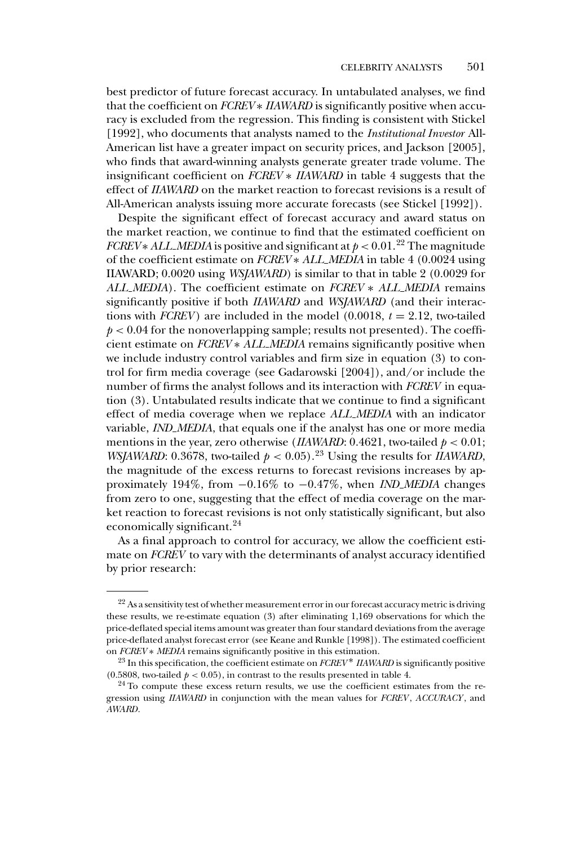best predictor of future forecast accuracy. In untabulated analyses, we find that the coefficient on *FCREV* ∗ *IIAWARD* is significantly positive when accuracy is excluded from the regression. This finding is consistent with Stickel [1992], who documents that analysts named to the *Institutional Investor* All-American list have a greater impact on security prices, and Jackson [2005], who finds that award-winning analysts generate greater trade volume. The insignificant coefficient on *FCREV* ∗ *IIAWARD* in table 4 suggests that the effect of *IIAWARD* on the market reaction to forecast revisions is a result of All-American analysts issuing more accurate forecasts (see Stickel [1992]).

Despite the significant effect of forecast accuracy and award status on the market reaction, we continue to find that the estimated coefficient on *FCREV* \* *ALL\_MEDIA* is positive and significant at  $p < 0.01$ .<sup>22</sup> The magnitude of the coefficient estimate on *FCREV* ∗ *ALL MEDIA* in table 4 (0.0024 using IIAWARD; 0.0020 using *WSJAWARD*) is similar to that in table 2 (0.0029 for *ALL MEDIA*). The coefficient estimate on *FCREV* ∗ *ALL MEDIA* remains significantly positive if both *IIAWARD* and *WSJAWARD* (and their interactions with *FCREV*) are included in the model  $(0.0018, t = 2.12,$  two-tailed  $p < 0.04$  for the nonoverlapping sample; results not presented). The coefficient estimate on *FCREV* ∗ *ALL MEDIA* remains significantly positive when we include industry control variables and firm size in equation (3) to control for firm media coverage (see Gadarowski [2004]), and/or include the number of firms the analyst follows and its interaction with *FCREV* in equation (3). Untabulated results indicate that we continue to find a significant effect of media coverage when we replace *ALL MEDIA* with an indicator variable, *IND MEDIA*, that equals one if the analyst has one or more media mentions in the year, zero otherwise (*IIAWARD*: 0.4621, two-tailed  $p < 0.01$ ; *WSJAWARD*: 0.3678, two-tailed  $p < 0.05$ ).<sup>23</sup> Using the results for *IIAWARD*, the magnitude of the excess returns to forecast revisions increases by approximately 194%, from −0.16% to −0.47%, when *IND MEDIA* changes from zero to one, suggesting that the effect of media coverage on the market reaction to forecast revisions is not only statistically significant, but also economically significant.<sup>24</sup>

As a final approach to control for accuracy, we allow the coefficient estimate on *FCREV* to vary with the determinants of analyst accuracy identified by prior research:

 $22$  As a sensitivity test of whether measurement error in our forecast accuracy metric is driving these results, we re-estimate equation (3) after eliminating 1,169 observations for which the price-deflated special items amount was greater than four standard deviations from the average price-deflated analyst forecast error (see Keane and Runkle [1998]). The estimated coefficient<br>on *FCREV*  $*$  *MEDIA* remains significantly positive in this estimation.

<sup>&</sup>lt;sup>23</sup> In this specification, the coefficient estimate on *FCREV* \* *IIAWARD* is significantly positive (0.5808, two-tailed  $p < 0.05$ ), in contrast to the results presented in table 4.

 $24$  To compute these excess return results, we use the coefficient estimates from the regression using *IIAWARD* in conjunction with the mean values for *FCREV* , *ACCURACY* , and *AWARD*.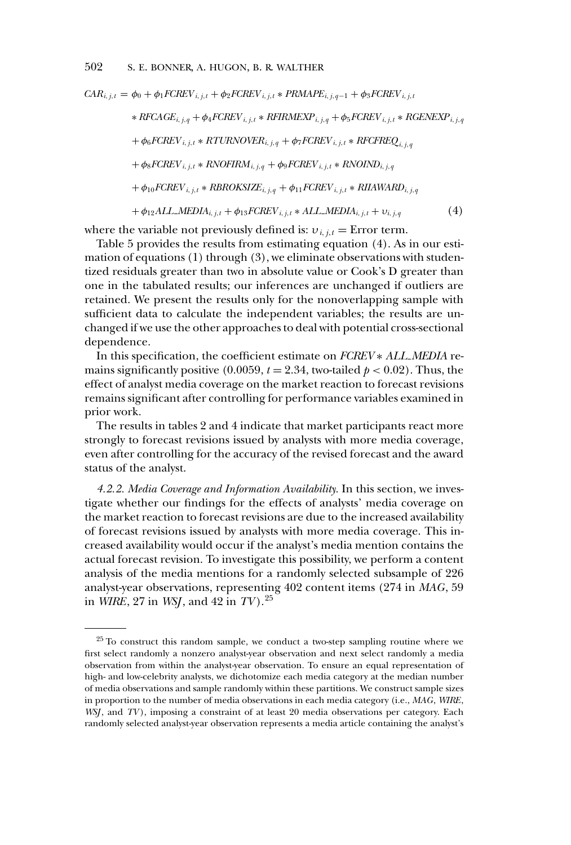$$
CAR_{i,j,t} = \phi_0 + \phi_1 FCREV_{i,j,t} + \phi_2 FCREV_{i,j,t} * PRMAPE_{i,j,q-1} + \phi_3 FCREV_{i,j,t}
$$
  
\n
$$
*RFCAGE_{i,j,q} + \phi_4 FCREV_{i,j,t} * RFIRMEXP_{i,j,q} + \phi_5 FCREV_{i,j,t} * RGENEXP_{i,j,q}
$$
  
\n
$$
+ \phi_6 FCREV_{i,j,t} * RTURNOVER_{i,j,q} + \phi_7 FCREV_{i,j,t} * RFCFREQ_{i,j,q}
$$
  
\n
$$
+ \phi_8 FCREV_{i,j,t} * RNOFIRM_{i,j,q} + \phi_9 FCREV_{i,j,t} * RNOIND_{i,j,q}
$$
  
\n
$$
+ \phi_{10} FCREV_{i,j,t} * RBROKSIZE_{i,j,q} + \phi_{11} FCREV_{i,j,t} * RIAWARD_{i,j,q}
$$
  
\n
$$
+ \phi_{12} ALL-MEDIA_{i,j,t} + \phi_{13} FCREV_{i,j,t} * ALL-MEDIA_{i,j,t} + \upsilon_{i,j,q}
$$
 (4)

where the variable not previously defined is:  $v_{i,i,t} =$  Error term.

Table 5 provides the results from estimating equation (4). As in our estimation of equations (1) through (3), we eliminate observations with studentized residuals greater than two in absolute value or Cook's D greater than one in the tabulated results; our inferences are unchanged if outliers are retained. We present the results only for the nonoverlapping sample with sufficient data to calculate the independent variables; the results are unchanged if we use the other approaches to deal with potential cross-sectional dependence.

In this specification, the coefficient estimate on *FCREV* ∗ *ALL MEDIA* remains significantly positive (0.0059,  $t = 2.34$ , two-tailed  $p < 0.02$ ). Thus, the effect of analyst media coverage on the market reaction to forecast revisions remains significant after controlling for performance variables examined in prior work.

The results in tables 2 and 4 indicate that market participants react more strongly to forecast revisions issued by analysts with more media coverage, even after controlling for the accuracy of the revised forecast and the award status of the analyst.

*4.2.2. Media Coverage and Information Availability.* In this section, we investigate whether our findings for the effects of analysts' media coverage on the market reaction to forecast revisions are due to the increased availability of forecast revisions issued by analysts with more media coverage. This increased availability would occur if the analyst's media mention contains the actual forecast revision. To investigate this possibility, we perform a content analysis of the media mentions for a randomly selected subsample of 226 analyst-year observations, representing 402 content items (274 in *MAG*, 59 in *WIRE*, 27 in *WSJ* , and 42 in *TV* ).<sup>25</sup>

 $25$  To construct this random sample, we conduct a two-step sampling routine where we first select randomly a nonzero analyst-year observation and next select randomly a media observation from within the analyst-year observation. To ensure an equal representation of high- and low-celebrity analysts, we dichotomize each media category at the median number of media observations and sample randomly within these partitions. We construct sample sizes in proportion to the number of media observations in each media category (i.e., *MAG*, *WIRE*, *WSJ*, and *TV*), imposing a constraint of at least 20 media observations per category. Each randomly selected analyst-year observation represents a media article containing the analyst's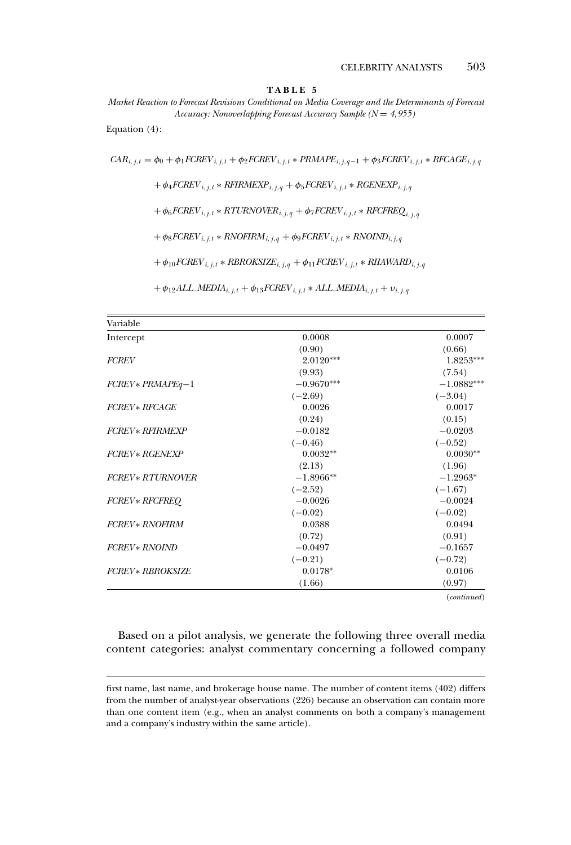#### **TABLE 5**

*Market Reaction to Forecast Revisions Conditional on Media Coverage and the Determinants of Forecast Accuracy: Nonoverlapping Forecast Accuracy Sample (N* = *4,955)*

Equation (4):

 $CAR_{i, j, t} = \phi_0 + \phi_1 \text{FCREV}_{i, j, t} + \phi_2 \text{FCREV}_{i, j, t} * \text{PRMAPE}_{i, j, q-1} + \phi_3 \text{FCREV}_{i, j, t} * \text{RFCAGE}_{i, j, q}$  $+ \phi_4 FCREV_{i, j, t} * RFIRSTEXP_{i, j, q} + \phi_5 FCREV_{i, j, t} * RGENEXP_{i, j, q}$ 

 $+ \phi_6$ *FCREV*<sub>*i*, *j*,*t*</sub>  $*$  *RTURNOVER*<sub>*i*, *j*,*q*</sub>  $+ \phi_7$ *FCREV*<sub>*i*, *j*,*t*  $*$  *RFCFREQ*<sub>*i*</sub>, *i*,*q*</sub>

 $+ \phi_8 FCREV_{i,j,t} * RNOFIRM_{i,j,q} + \phi_9 FCREV_{i,j,t} * RNOIND_{i,j,q}$ 

 $+ \phi_{10}FCREV_{i,j,t} * RBROKSIZE_{i,j,q} + \phi_{11}FCREV_{i,j,t} * RIIAWARD_{i,j,q}$ 

 $+ \phi_{12}ALL \cdot \text{MEDIA}_{i, j, t} + \phi_{13} FCREV_{i, j, t} * ALL \cdot \text{MEDIA}_{i, j, t} + v_{i, j, q}$ 

| Variable                |              |              |
|-------------------------|--------------|--------------|
| Intercept               | 0.0008       | 0.0007       |
|                         | (0.90)       | (0.66)       |
| <b>FCREV</b>            | 2.0120***    | 1.8253***    |
|                         | (9.93)       | (7.54)       |
| FCREV* PRMAPEq-1        | $-0.9670***$ | $-1.0882***$ |
|                         | $(-2.69)$    | $(-3.04)$    |
| <b>FCREV* RFCAGE</b>    | 0.0026       | 0.0017       |
|                         | (0.24)       | (0.15)       |
| <b>FCREV* RFIRMEXP</b>  | $-0.0182$    | $-0.0203$    |
|                         | $(-0.46)$    | $(-0.52)$    |
| <b>FCREV* RGENEXP</b>   | $0.0032**$   | $0.0030**$   |
|                         | (2.13)       | (1.96)       |
| <b>FCREV* RTURNOVER</b> | $-1.8966**$  | $-1.2963*$   |
|                         | $(-2.52)$    | $(-1.67)$    |
| <b>FCREV* RFCFREQ</b>   | $-0.0026$    | $-0.0024$    |
|                         | $(-0.02)$    | $(-0.02)$    |
| <b>FCREV* RNOFIRM</b>   | 0.0388       | 0.0494       |
|                         | (0.72)       | (0.91)       |
| <b>FCREV* RNOIND</b>    | $-0.0497$    | $-0.1657$    |
|                         | $(-0.21)$    | $(-0.72)$    |
| <b>FCREV* RBROKSIZE</b> | $0.0178*$    | 0.0106       |
|                         | (1.66)       | (0.97)       |

(*continued*)

Based on a pilot analysis, we generate the following three overall media content categories: analyst commentary concerning a followed company

first name, last name, and brokerage house name. The number of content items (402) differs from the number of analyst-year observations (226) because an observation can contain more than one content item (e.g., when an analyst comments on both a company's management and a company's industry within the same article).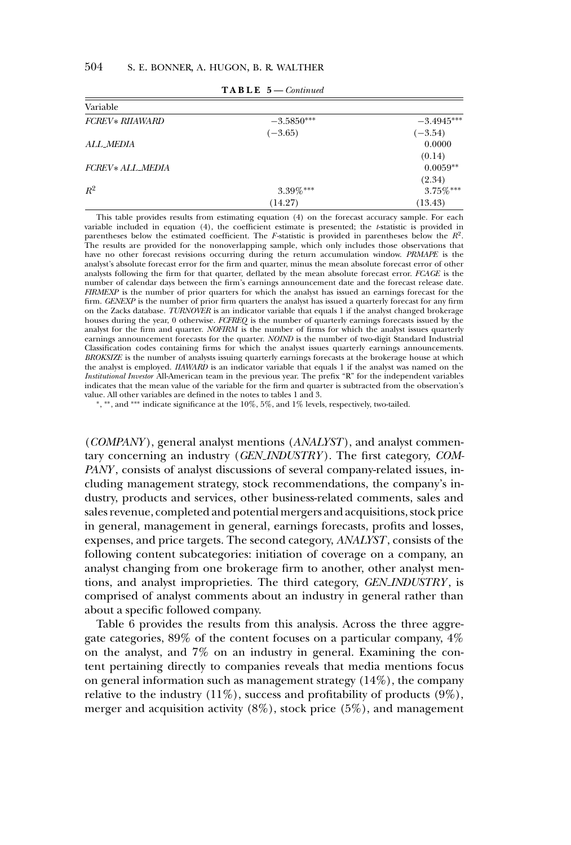| Variable               |              |              |
|------------------------|--------------|--------------|
| <b>FCREV* RIIAWARD</b> | $-3.5850***$ | $-3.4945***$ |
|                        | $(-3.65)$    | $(-3.54)$    |
| ALL_MEDIA              |              | 0.0000       |
|                        |              | (0.14)       |
| FCREV* ALL_MEDIA       |              | $0.0059**$   |
|                        |              | (2.34)       |
| $R^2$                  | $3.39\%***$  | $3.75\%***$  |
|                        | (14.27)      | (13.43)      |

**TABLE 5** —*Continued*

This table provides results from estimating equation (4) on the forecast accuracy sample. For each variable included in equation (4), the coefficient estimate is presented; the *t*-statistic is provided in parentheses below the estimated coefficient. The *F*-statistic is provided in parentheses below the  $R^2$ . The results are provided for the nonoverlapping sample, which only includes those observations that have no other forecast revisions occurring during the return accumulation window. *PRMAPE* is the analyst's absolute forecast error for the firm and quarter, minus the mean absolute forecast error of other analysts following the firm for that quarter, deflated by the mean absolute forecast error. *FCAGE* is the number of calendar days between the firm's earnings announcement date and the forecast release date. *FIRMEXP* is the number of prior quarters for which the analyst has issued an earnings forecast for the firm. *GENEXP* is the number of prior firm quarters the analyst has issued a quarterly forecast for any firm on the Zacks database. *TURNOVER* is an indicator variable that equals 1 if the analyst changed brokerage houses during the year, 0 otherwise. *FCFREQ* is the number of quarterly earnings forecasts issued by the analyst for the firm and quarter. *NOFIRM* is the number of firms for which the analyst issues quarterly earnings announcement forecasts for the quarter. *NOIND* is the number of two-digit Standard Industrial Classification codes containing firms for which the analyst issues quarterly earnings announcements. *BROKSIZE* is the number of analysts issuing quarterly earnings forecasts at the brokerage house at which the analyst is employed. *IIAWARD* is an indicator variable that equals 1 if the analyst was named on the *Institutional Investor* All-American team in the previous year. The prefix "R" for the independent variables indicates that the mean value of the variable for the firm and quarter is subtracted from the observation's value. All other variables are defined in the notes to tables 1 and 3.

∗, ∗∗, and ∗∗∗ indicate significance at the 10%, 5%, and 1% levels, respectively, two-tailed.

(*COMPANY* ), general analyst mentions (*ANALYST*), and analyst commentary concerning an industry (*GEN INDUSTRY* ). The first category, *COM-PANY* , consists of analyst discussions of several company-related issues, including management strategy, stock recommendations, the company's industry, products and services, other business-related comments, sales and sales revenue, completed and potential mergers and acquisitions, stock price in general, management in general, earnings forecasts, profits and losses, expenses, and price targets. The second category, *ANALYST*, consists of the following content subcategories: initiation of coverage on a company, an analyst changing from one brokerage firm to another, other analyst mentions, and analyst improprieties. The third category, *GEN INDUSTRY* , is comprised of analyst comments about an industry in general rather than about a specific followed company.

Table 6 provides the results from this analysis. Across the three aggregate categories, 89% of the content focuses on a particular company, 4% on the analyst, and 7% on an industry in general. Examining the content pertaining directly to companies reveals that media mentions focus on general information such as management strategy (14%), the company relative to the industry  $(11\%)$ , success and profitability of products  $(9\%)$ , merger and acquisition activity (8%), stock price (5%), and management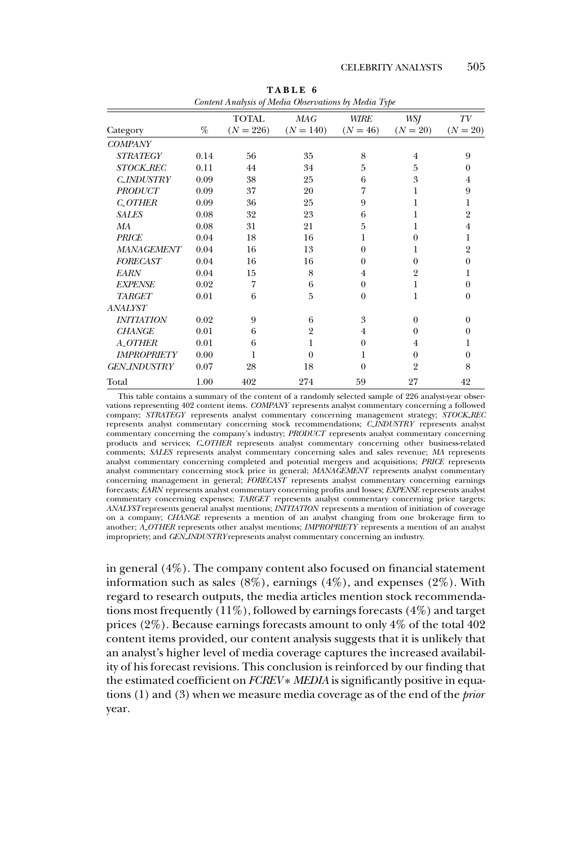|                     |      |              | Сопіет Апасум ор імеата Оозегоаноть бу імеата туре |                |                |                |
|---------------------|------|--------------|----------------------------------------------------|----------------|----------------|----------------|
|                     |      | <b>TOTAL</b> | MAG                                                | WIRE           | WSJ            | TV             |
| Category            | %    | $(N = 226)$  | $(N = 140)$                                        | $(N = 46)$     | $(N = 20)$     | $(N = 20)$     |
| <b>COMPANY</b>      |      |              |                                                    |                |                |                |
| <b>STRATEGY</b>     | 0.14 | 56           | 35                                                 | 8              | $\overline{4}$ | 9              |
| <b>STOCK_REC</b>    | 0.11 | 44           | 34                                                 | 5              | 5              | $\Omega$       |
| <b>C_INDUSTRY</b>   | 0.09 | 38           | 25                                                 | 6              | 3              | 4              |
| <b>PRODUCT</b>      | 0.09 | 37           | 20                                                 | 7              | 1              | 9              |
| C_OTHER             | 0.09 | 36           | 25                                                 | 9              | 1              | 1              |
| <b>SALES</b>        | 0.08 | 32           | 23                                                 | 6              | 1              | $\overline{2}$ |
| MА                  | 0.08 | 31           | 21                                                 | 5              | 1              | $\overline{4}$ |
| <b>PRICE</b>        | 0.04 | 18           | 16                                                 | 1              | $\Omega$       | 1              |
| <b>MANAGEMENT</b>   | 0.04 | 16           | 13                                                 | $\theta$       | 1              | $\overline{2}$ |
| <b>FORECAST</b>     | 0.04 | 16           | 16                                                 | $\Omega$       | $\Omega$       | $\theta$       |
| <b>EARN</b>         | 0.04 | 15           | 8                                                  | 4              | $\overline{2}$ | 1              |
| <b>EXPENSE</b>      | 0.02 | 7            | 6                                                  | $\Omega$       | 1              | $\Omega$       |
| <b>TARGET</b>       | 0.01 | 6            | 5                                                  | $\Omega$       | 1              | $\Omega$       |
| <b>ANALYST</b>      |      |              |                                                    |                |                |                |
| <b>INITIATION</b>   | 0.02 | 9            | 6                                                  | 3              | $\Omega$       | $\Omega$       |
| <b>CHANGE</b>       | 0.01 | 6            | $\overline{2}$                                     | $\overline{4}$ | $\Omega$       | $\Omega$       |
| A_OTHER             | 0.01 | 6            | 1                                                  | $\Omega$       | 4              | 1              |
| <b>IMPROPRIETY</b>  | 0.00 |              | $\Omega$                                           | 1              | $\Omega$       | $\Omega$       |
| <b>GEN_INDUSTRY</b> | 0.07 | 28           | 18                                                 | $\Omega$       | $\overline{2}$ | 8              |
| Total               | 1.00 | 402          | 274                                                | 59             | 27             | 42             |

**TABLE 6** *Content Analysis of Media Observations by Media Type*

This table contains a summary of the content of a randomly selected sample of 226 analyst-year observations representing 402 content items. *COMPANY* represents analyst commentary concerning a followed company; *STRATEGY* represents analyst commentary concerning management strategy; *STOCK REC* represents analyst commentary concerning stock recommendations; *C INDUSTRY* represents analyst commentary concerning the company's industry; *PRODUCT* represents analyst commentary concerning products and services; *C OTHER* represents analyst commentary concerning other business-related comments; *SALES* represents analyst commentary concerning sales and sales revenue; *MA* represents analyst commentary concerning completed and potential mergers and acquisitions; *PRICE* represents analyst commentary concerning stock price in general; *MANAGEMENT* represents analyst commentary concerning management in general; *FORECAST* represents analyst commentary concerning earnings forecasts; *EARN* represents analyst commentary concerning profits and losses; *EXPENSE* represents analyst commentary concerning expenses; *TARGET* represents analyst commentary concerning price targets; *ANALYST*represents general analyst mentions; *INITIATION* represents a mention of initiation of coverage on a company; *CHANGE* represents a mention of an analyst changing from one brokerage firm to another; *A OTHER* represents other analyst mentions; *IMPROPRIETY* represents a mention of an analyst impropriety; and *GEN INDUSTRY* represents analyst commentary concerning an industry.

in general (4%). The company content also focused on financial statement information such as sales  $(8\%)$ , earnings  $(4\%)$ , and expenses  $(2\%)$ . With regard to research outputs, the media articles mention stock recommendations most frequently  $(11\%)$ , followed by earnings forecasts  $(4\%)$  and target prices (2%). Because earnings forecasts amount to only 4% of the total 402 content items provided, our content analysis suggests that it is unlikely that an analyst's higher level of media coverage captures the increased availability of his forecast revisions. This conclusion is reinforced by our finding that the estimated coefficient on *FCREV* ∗ *MEDIA* is significantly positive in equations (1) and (3) when we measure media coverage as of the end of the *prior* year.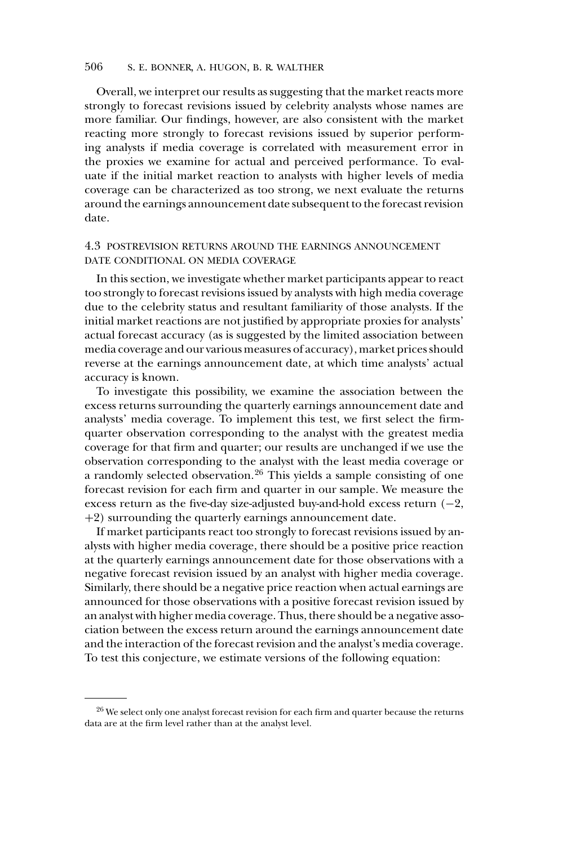# 506 S. E. BONNER, A. HUGON, B. R. WALTHER

Overall, we interpret our results as suggesting that the market reacts more strongly to forecast revisions issued by celebrity analysts whose names are more familiar. Our findings, however, are also consistent with the market reacting more strongly to forecast revisions issued by superior performing analysts if media coverage is correlated with measurement error in the proxies we examine for actual and perceived performance. To evaluate if the initial market reaction to analysts with higher levels of media coverage can be characterized as too strong, we next evaluate the returns around the earnings announcement date subsequent to the forecast revision date.

# 4.3 POSTREVISION RETURNS AROUND THE EARNINGS ANNOUNCEMENT DATE CONDITIONAL ON MEDIA COVERAGE

In this section, we investigate whether market participants appear to react too strongly to forecast revisions issued by analysts with high media coverage due to the celebrity status and resultant familiarity of those analysts. If the initial market reactions are not justified by appropriate proxies for analysts' actual forecast accuracy (as is suggested by the limited association between media coverage and our various measures of accuracy), market prices should reverse at the earnings announcement date, at which time analysts' actual accuracy is known.

To investigate this possibility, we examine the association between the excess returns surrounding the quarterly earnings announcement date and analysts' media coverage. To implement this test, we first select the firmquarter observation corresponding to the analyst with the greatest media coverage for that firm and quarter; our results are unchanged if we use the observation corresponding to the analyst with the least media coverage or a randomly selected observation.<sup>26</sup> This yields a sample consisting of one forecast revision for each firm and quarter in our sample. We measure the excess return as the five-day size-adjusted buy-and-hold excess return  $(-2)$ , +2) surrounding the quarterly earnings announcement date.

If market participants react too strongly to forecast revisions issued by analysts with higher media coverage, there should be a positive price reaction at the quarterly earnings announcement date for those observations with a negative forecast revision issued by an analyst with higher media coverage. Similarly, there should be a negative price reaction when actual earnings are announced for those observations with a positive forecast revision issued by an analyst with higher media coverage. Thus, there should be a negative association between the excess return around the earnings announcement date and the interaction of the forecast revision and the analyst's media coverage. To test this conjecture, we estimate versions of the following equation:

 $^{26}\,$  We select only one analyst forecast revision for each firm and quarter because the returns data are at the firm level rather than at the analyst level.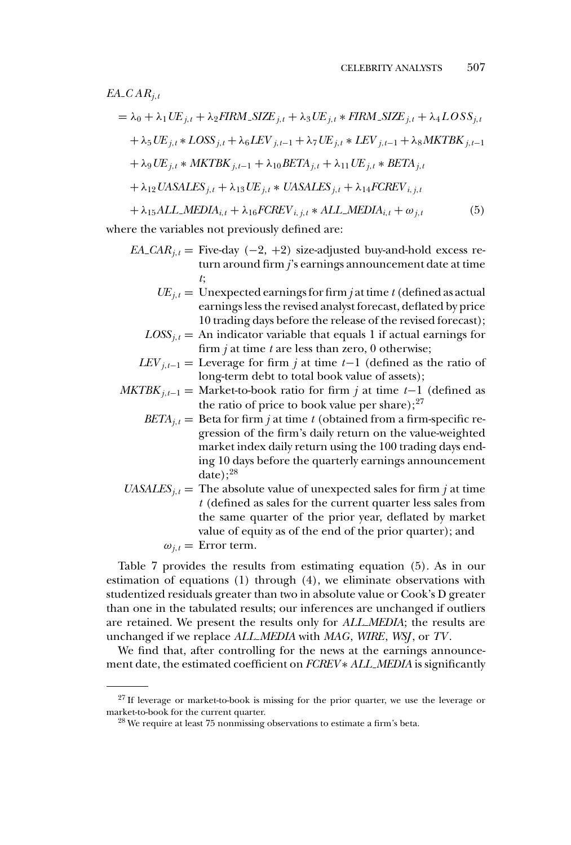$E A_C A R_{i,t}$ 

$$
= \lambda_0 + \lambda_1 U E_{j,t} + \lambda_2 FIRM\_SIZE_{j,t} + \lambda_3 U E_{j,t} * FIRM\_SIZE_{j,t} + \lambda_4 LOS S_{j,t}
$$

$$
+ \lambda_5 U E_{j,t} * LOS S_{j,t} + \lambda_6 LEV_{j,t-1} + \lambda_7 U E_{j,t} * LEV_{j,t-1} + \lambda_8 MKTBK_{j,t-1}
$$

$$
+ \lambda_9 U E_{j,t} * MKTBK_{j,t-1} + \lambda_{10} BETA_{j,t} + \lambda_{11} U E_{j,t} * BETA_{j,t}
$$

$$
+ \lambda_{12} UASALES_{j,t} + \lambda_{13} U E_{j,t} * UASALES_{j,t} + \lambda_{14} FCREV_{i,j,t}
$$

$$
+ \lambda_{15} ALL\_MEDIA_{i,t} + \lambda_{16} FCREV_{i,j,t} * ALL\_MEDIA_{i,t} + \omega_{j,t}
$$
(5)

where the variables not previously defined are:

- *EA CAR*<sub>*i*,*t*</sub> = Five-day (−2, +2) size-adjusted buy-and-hold excess return around firm *j*'s earnings announcement date at time *t*;
	- $UE_{j,t}$  = Unexpected earnings for firm *j* at time *t* (defined as actual earnings less the revised analyst forecast, deflated by price 10 trading days before the release of the revised forecast);

$$
LOSS_{j,t} = \text{An indicator variable that equals 1 if actual earnings for firm } j \text{ at time } t \text{ are less than zero, 0 otherwise;}
$$

$$
LEV_{j,t-1} = \text{Leverage for firm } j \text{ at time } t-1 \text{ (defined as the ratio of long-term debt to total book value of assets);}
$$

 $MKTBK$ <sub>*i*,*t*−1</sub> = Market-to-book ratio for firm *j* at time *t*−1 (defined as the ratio of price to book value per share); $^{27}$ 

- *BETA*<sub>*i*,*t*</sub> = Beta for firm *j* at time *t* (obtained from a firm-specific regression of the firm's daily return on the value-weighted market index daily return using the 100 trading days ending 10 days before the quarterly earnings announcement  $date);^{28}$
- *UASALES*<sub>*i,t*</sub> = The absolute value of unexpected sales for firm *j* at time *t* (defined as sales for the current quarter less sales from the same quarter of the prior year, deflated by market value of equity as of the end of the prior quarter); and  $\omega_{i,t}$  = Error term.

Table 7 provides the results from estimating equation (5). As in our estimation of equations (1) through (4), we eliminate observations with studentized residuals greater than two in absolute value or Cook's D greater than one in the tabulated results; our inferences are unchanged if outliers are retained. We present the results only for *ALL MEDIA*; the results are unchanged if we replace *ALL MEDIA* with *MAG*, *WIRE*, *WSJ* , or *TV* .

We find that, after controlling for the news at the earnings announcement date, the estimated coefficient on *FCREV* ∗ *ALL MEDIA* is significantly

 $27$  If leverage or market-to-book is missing for the prior quarter, we use the leverage or market-to-book for the current quarter.

 $28$  We require at least 75 nonmissing observations to estimate a firm's beta.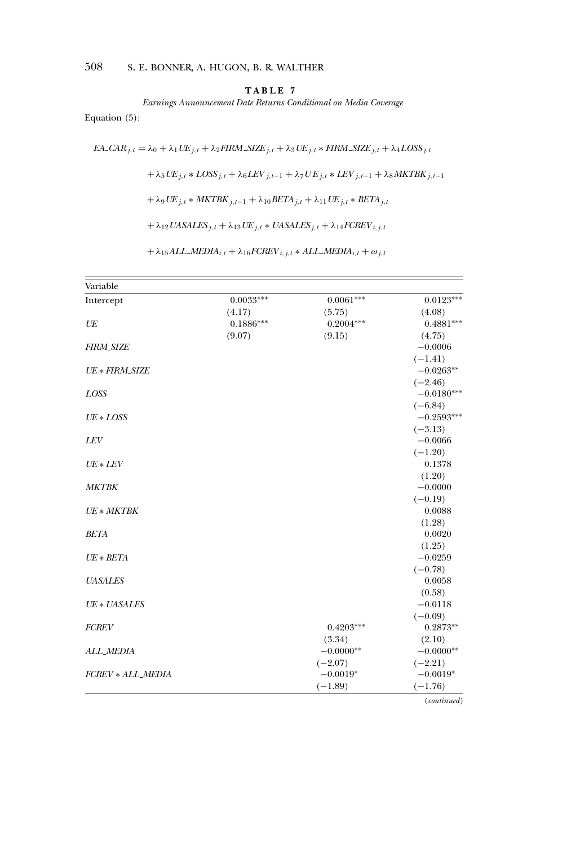## **TABLE 7**

*Earnings Announcement Date Returns Conditional on Media Coverage* Equation (5):

$$
EA\_CAR_{j,t} = \lambda_0 + \lambda_1 UE_{j,t} + \lambda_2 FIRM\_SIZE_{j,t} + \lambda_3 UE_{j,t} * FIRM\_SIZE_{j,t} + \lambda_4 LOSS_{j,t}
$$
  
+  $\lambda_5 UE_{j,t} * LOSS_{j,t} + \lambda_6 LEV_{j,t-1} + \lambda_7 UE_{j,t} * LEV_{j,t-1} + \lambda_8 MKTBK_{j,t-1}$   
+  $\lambda_9 UE_{j,t} * MKTBK_{j,t-1} + \lambda_{10} BETA_{j,t} + \lambda_{11} UE_{j,t} * BETA_{j,t}$   
+  $\lambda_{12} UASALES_{j,t} + \lambda_{13} UE_{j,t} * UASALES_{j,t} + \lambda_{14} FCREV_{i,j,t}$   
+  $\lambda_{15} ALL\_MEDIA_{i,t} + \lambda_{16} FCREV_{i,j,t} * ALL\_MEDIA_{i,t} + \omega_{j,t}$ 

| Variable                 |             |             |              |
|--------------------------|-------------|-------------|--------------|
| Intercept                | $0.0033***$ | $0.0061***$ | $0.0123***$  |
|                          | (4.17)      | (5.75)      | (4.08)       |
| UE                       | $0.1886***$ | $0.2004***$ | $0.4881***$  |
|                          | (9.07)      | (9.15)      | (4.75)       |
| <b>FIRM_SIZE</b>         |             |             | $-0.0006$    |
|                          |             |             | $(-1.41)$    |
| UE * FIRM_SIZE           |             |             | $-0.0263**$  |
|                          |             |             | $(-2.46)$    |
| LOSS                     |             |             | $-0.0180***$ |
|                          |             |             | $(-6.84)$    |
| $UE*LOSS$                |             |             | $-0.2593***$ |
|                          |             |             | $(-3.13)$    |
| LEV                      |             |             | $-0.0066$    |
|                          |             |             | $(-1.20)$    |
| $UE*LEV$                 |             |             | 0.1378       |
|                          |             |             | (1.20)       |
| <b>MKTBK</b>             |             |             | $-0.0000$    |
|                          |             |             | $(-0.19)$    |
| UE * MKTBK               |             |             | 0.0088       |
|                          |             |             | (1.28)       |
| <b>BETA</b>              |             |             | 0.0020       |
|                          |             |             | (1.25)       |
| $UE*BETA$                |             |             | $-0.0259$    |
|                          |             |             | $(-0.78)$    |
| <b>UASALES</b>           |             |             | 0.0058       |
|                          |             |             | (0.58)       |
| <b>UE * UASALES</b>      |             |             | $-0.0118$    |
|                          |             |             | $(-0.09)$    |
| <b>FCREV</b>             |             | $0.4203***$ | $0.2873**$   |
|                          |             | (3.34)      | (2.10)       |
| ALL_MEDIA                |             | $-0.0000**$ | $-0.0000**$  |
|                          |             | $(-2.07)$   | $(-2.21)$    |
| <b>FCREV * ALL_MEDIA</b> |             | $-0.0019*$  | $-0.0019*$   |
|                          |             | $(-1.89)$   | $(-1.76)$    |
|                          |             |             | (continued)  |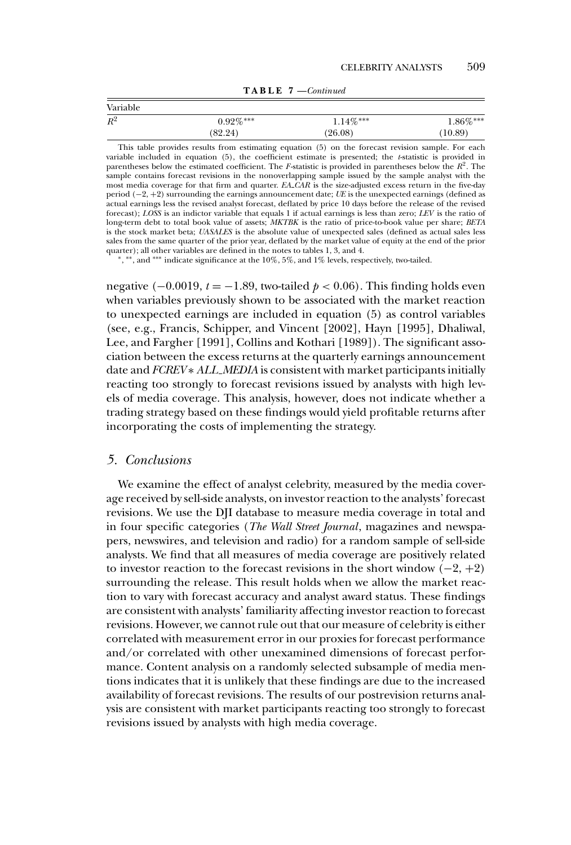| Variable |             |             |             |
|----------|-------------|-------------|-------------|
| $R^2$    | $0.92\%***$ | $1.14\%***$ | $1.86\%***$ |
|          | (82.24)     | (26.08)     | (10.89)     |

**TABLE 7** —*Continued*

This table provides results from estimating equation (5) on the forecast revision sample. For each variable included in equation (5), the coefficient estimate is presented; the *t*-statistic is provided in parentheses below the estimated coefficient. The *F*-statistic is provided in parentheses below the  $R^2$ . The sample contains forecast revisions in the nonoverlapping sample issued by the sample analyst with the most media coverage for that firm and quarter. *EA CAR* is the size-adjusted excess return in the five-day period (−2, +2) surrounding the earnings announcement date; *UE* is the unexpected earnings (defined as actual earnings less the revised analyst forecast, deflated by price 10 days before the release of the revised forecast); *LOSS* is an indictor variable that equals 1 if actual earnings is less than zero; *LEV* is the ratio of long-term debt to total book value of assets; *MKTBK* is the ratio of price-to-book value per share; *BETA* is the stock market beta; *UASALES* is the absolute value of unexpected sales (defined as actual sales less sales from the same quarter of the prior year, deflated by the market value of equity at the end of the prior quarter); all other variables are defined in the notes to tables 1, 3, and 4.

∗, ∗∗, and ∗∗∗ indicate significance at the 10%, 5%, and 1% levels, respectively, two-tailed.

negative  $(-0.0019, t = -1.89,$  two-tailed  $p < 0.06$ ). This finding holds even when variables previously shown to be associated with the market reaction to unexpected earnings are included in equation (5) as control variables (see, e.g., Francis, Schipper, and Vincent [2002], Hayn [1995], Dhaliwal, Lee, and Fargher [1991], Collins and Kothari [1989]). The significant association between the excess returns at the quarterly earnings announcement date and *FCREV* ∗ *ALL MEDIA* is consistent with market participants initially reacting too strongly to forecast revisions issued by analysts with high levels of media coverage. This analysis, however, does not indicate whether a trading strategy based on these findings would yield profitable returns after incorporating the costs of implementing the strategy.

# *5. Conclusions*

We examine the effect of analyst celebrity, measured by the media coverage received by sell-side analysts, on investor reaction to the analysts' forecast revisions. We use the DJI database to measure media coverage in total and in four specific categories (*The Wall Street Journal*, magazines and newspapers, newswires, and television and radio) for a random sample of sell-side analysts. We find that all measures of media coverage are positively related to investor reaction to the forecast revisions in the short window  $(-2, +2)$ surrounding the release. This result holds when we allow the market reaction to vary with forecast accuracy and analyst award status. These findings are consistent with analysts' familiarity affecting investor reaction to forecast revisions. However, we cannot rule out that our measure of celebrity is either correlated with measurement error in our proxies for forecast performance and/or correlated with other unexamined dimensions of forecast performance. Content analysis on a randomly selected subsample of media mentions indicates that it is unlikely that these findings are due to the increased availability of forecast revisions. The results of our postrevision returns analysis are consistent with market participants reacting too strongly to forecast revisions issued by analysts with high media coverage.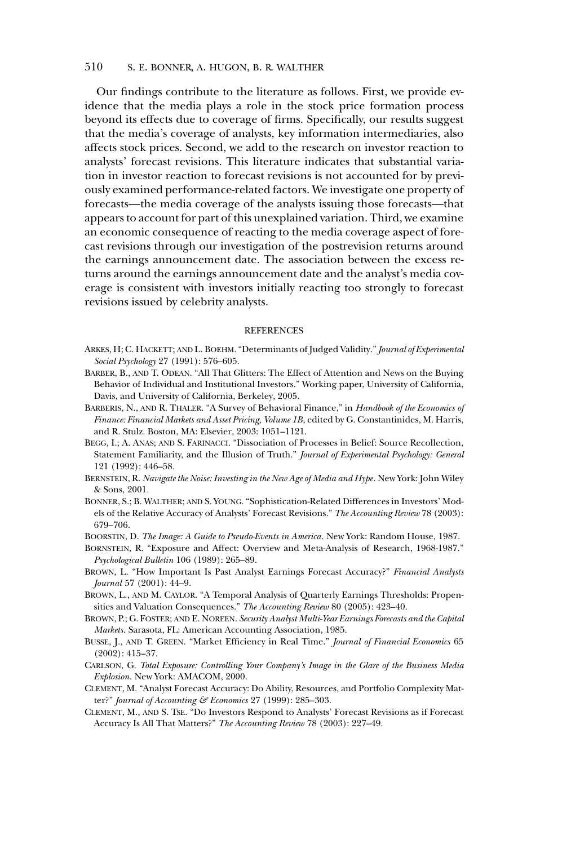## 510 S. E. BONNER, A. HUGON, B. R. WALTHER

Our findings contribute to the literature as follows. First, we provide evidence that the media plays a role in the stock price formation process beyond its effects due to coverage of firms. Specifically, our results suggest that the media's coverage of analysts, key information intermediaries, also affects stock prices. Second, we add to the research on investor reaction to analysts' forecast revisions. This literature indicates that substantial variation in investor reaction to forecast revisions is not accounted for by previously examined performance-related factors. We investigate one property of forecasts—the media coverage of the analysts issuing those forecasts—that appears to account for part of this unexplained variation. Third, we examine an economic consequence of reacting to the media coverage aspect of forecast revisions through our investigation of the postrevision returns around the earnings announcement date. The association between the excess returns around the earnings announcement date and the analyst's media coverage is consistent with investors initially reacting too strongly to forecast revisions issued by celebrity analysts.

#### **REFERENCES**

- ARKES, H; C. HACKETT; AND L. BOEHM. "Determinants of Judged Validity." *Journal of Experimental Social Psychology* 27 (1991): 576–605.
- BARBER, B., AND T. ODEAN. "All That Glitters: The Effect of Attention and News on the Buying Behavior of Individual and Institutional Investors." Working paper, University of California, Davis, and University of California, Berkeley, 2005.
- BARBERIS, N., AND R. THALER. "A Survey of Behavioral Finance," in *Handbook of the Economics of Finance: Financial Markets and Asset Pricing, Volume 1B*, edited by G. Constantinides, M. Harris, and R. Stulz. Boston, MA: Elsevier, 2003: 1051–1121.
- BEGG, I.; A. ANAS; AND S. FARINACCI. "Dissociation of Processes in Belief: Source Recollection, Statement Familiarity, and the Illusion of Truth." *Journal of Experimental Psychology: General* 121 (1992): 446–58.
- BERNSTEIN, R. *Navigate the Noise: Investing in the New Age of Media and Hype*. New York: John Wiley & Sons, 2001.
- BONNER, S.; B. WALTHER; AND S. YOUNG. "Sophistication-Related Differences in Investors' Models of the Relative Accuracy of Analysts' Forecast Revisions." *The Accounting Review* 78 (2003): 679–706.
- BOORSTIN, D. *The Image: A Guide to Pseudo-Events in America*. New York: Random House, 1987.
- BORNSTEIN, R. "Exposure and Affect: Overview and Meta-Analysis of Research, 1968-1987." *Psychological Bulletin* 106 (1989): 265–89.
- BROWN, L. "How Important Is Past Analyst Earnings Forecast Accuracy?" *Financial Analysts Journal* 57 (2001): 44–9.
- BROWN, L., AND M. CAYLOR. "A Temporal Analysis of Quarterly Earnings Thresholds: Propensities and Valuation Consequences." *The Accounting Review* 80 (2005): 423–40.
- BROWN, P.; G. FOSTER; AND E. NOREEN. *Security Analyst Multi-Year Earnings Forecasts and the Capital Markets*. Sarasota, FL: American Accounting Association, 1985.
- BUSSE, J., AND T. GREEN. "Market Efficiency in Real Time." *Journal of Financial Economics* 65 (2002): 415–37.
- CARLSON, G. *Total Exposure: Controlling Your Company's Image in the Glare of the Business Media Explosion*. New York: AMACOM, 2000.
- CLEMENT, M. "Analyst Forecast Accuracy: Do Ability, Resources, and Portfolio Complexity Matter?" *Journal of Accounting & Economics* 27 (1999): 285–303.
- CLEMENT, M., AND S. TSE. "Do Investors Respond to Analysts' Forecast Revisions as if Forecast Accuracy Is All That Matters?" *The Accounting Review* 78 (2003): 227–49.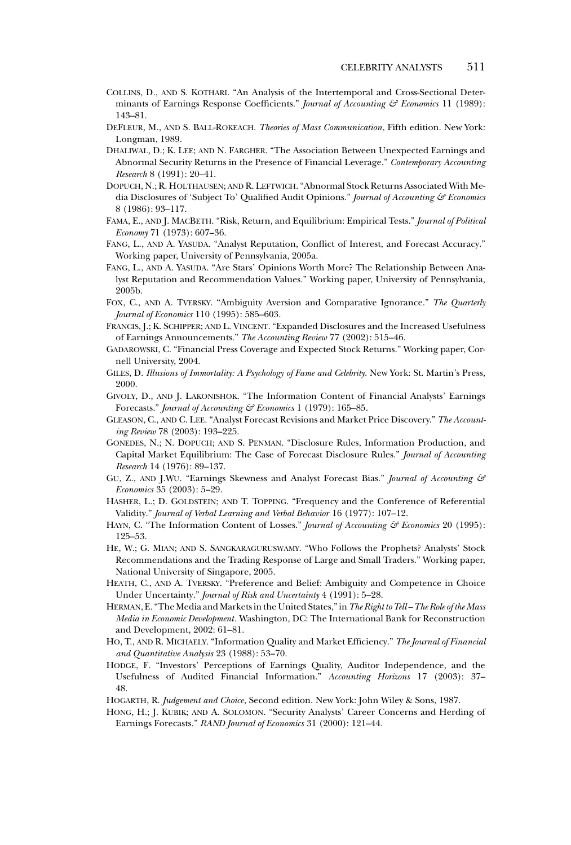- COLLINS, D., AND S. KOTHARI. "An Analysis of the Intertemporal and Cross-Sectional Determinants of Earnings Response Coefficients." *Journal of Accounting & Economics* 11 (1989): 143–81.
- DEFLEUR, M., AND S. BALL-ROKEACH. *Theories of Mass Communication*, Fifth edition. New York: Longman, 1989.
- DHALIWAL, D.; K. LEE; AND N. FARGHER. "The Association Between Unexpected Earnings and Abnormal Security Returns in the Presence of Financial Leverage." *Contemporary Accounting Research* 8 (1991): 20–41.
- DOPUCH, N.; R. HOLTHAUSEN; AND R. LEFTWICH. "Abnormal Stock Returns Associated With Media Disclosures of 'Subject To' Qualified Audit Opinions." *Journal of Accounting & Economics* 8 (1986): 93–117.
- FAMA, E., AND J. MACBETH. "Risk, Return, and Equilibrium: Empirical Tests." *Journal of Political Economy* 71 (1973): 607–36.
- FANG, L., AND A. YASUDA. "Analyst Reputation, Conflict of Interest, and Forecast Accuracy." Working paper, University of Pennsylvania, 2005a.
- FANG, L., AND A. YASUDA. "Are Stars' Opinions Worth More? The Relationship Between Analyst Reputation and Recommendation Values." Working paper, University of Pennsylvania, 2005b.
- FOX, C., AND A. TVERSKY. "Ambiguity Aversion and Comparative Ignorance." *The Quarterly Journal of Economics* 110 (1995): 585–603.
- FRANCIS, J.; K. SCHIPPER; AND L. VINCENT. "Expanded Disclosures and the Increased Usefulness of Earnings Announcements." *The Accounting Review* 77 (2002): 515–46.
- GADAROWSKI, C. "Financial Press Coverage and Expected Stock Returns." Working paper, Cornell University, 2004.
- GILES, D. *Illusions of Immortality: A Psychology of Fame and Celebrity*. New York: St. Martin's Press, 2000.
- GIVOLY, D., AND J. LAKONISHOK. "The Information Content of Financial Analysts' Earnings Forecasts." *Journal of Accounting & Economics* 1 (1979): 165–85.
- GLEASON, C., AND C. LEE. "Analyst Forecast Revisions and Market Price Discovery." *The Accounting Review* 78 (2003): 193–225.
- GONEDES, N.; N. DOPUCH; AND S. PENMAN. "Disclosure Rules, Information Production, and Capital Market Equilibrium: The Case of Forecast Disclosure Rules." *Journal of Accounting Research* 14 (1976): 89–137.
- GU, Z., AND J.WU. "Earnings Skewness and Analyst Forecast Bias." *Journal of Accounting & Economics* 35 (2003): 5–29.
- HASHER, L.; D. GOLDSTEIN; AND T. TOPPING. "Frequency and the Conference of Referential Validity." *Journal of Verbal Learning and Verbal Behavior* 16 (1977): 107–12.
- HAYN, C. "The Information Content of Losses." *Journal of Accounting & Economics* 20 (1995): 125–53.
- HE, W.; G. MIAN; AND S. SANGKARAGURUSWAMY. "Who Follows the Prophets? Analysts' Stock Recommendations and the Trading Response of Large and Small Traders." Working paper, National University of Singapore, 2005.
- HEATH, C., AND A. TVERSKY. "Preference and Belief: Ambiguity and Competence in Choice Under Uncertainty." *Journal of Risk and Uncertainty* 4 (1991): 5–28.
- HERMAN, E. "The Media and Markets in the United States," in*The Right to Tell The Role of the Mass Media in Economic Development*. Washington, DC: The International Bank for Reconstruction and Development, 2002: 61–81.
- HO, T., AND R. MICHAELY. "Information Quality and Market Efficiency." *The Journal of Financial and Quantitative Analysis* 23 (1988): 53–70.
- HODGE, F. "Investors' Perceptions of Earnings Quality, Auditor Independence, and the Usefulness of Audited Financial Information." *Accounting Horizons* 17 (2003): 37– 48.
- HOGARTH, R. *Judgement and Choice*, Second edition. New York: John Wiley & Sons, 1987.
- HONG, H.; J. KUBIK; AND A. SOLOMON. "Security Analysts' Career Concerns and Herding of Earnings Forecasts." *RAND Journal of Economics* 31 (2000): 121–44.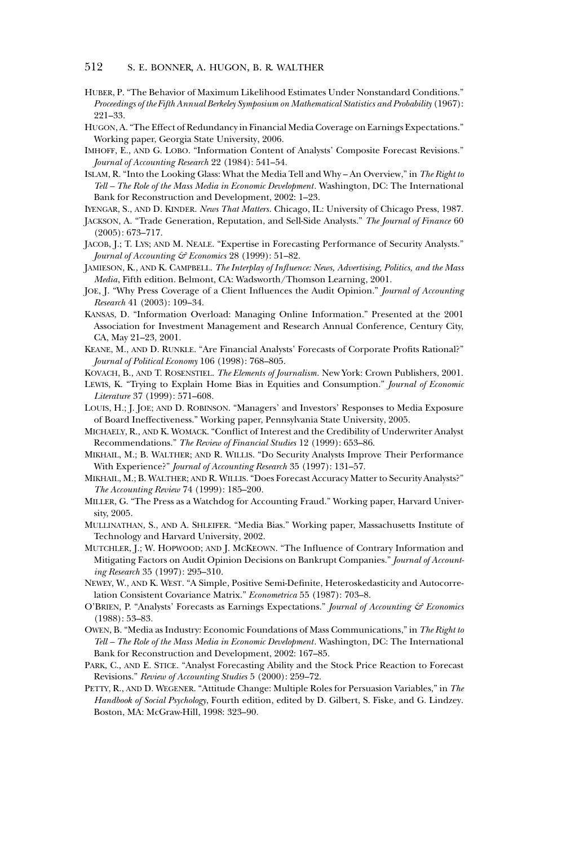- HUBER, P. "The Behavior of Maximum Likelihood Estimates Under Nonstandard Conditions." *Proceedings of the Fifth Annual Berkeley Symposium on Mathematical Statistics and Probability* (1967): 221–33.
- HUGON, A. "The Effect of Redundancy in Financial Media Coverage on Earnings Expectations." Working paper, Georgia State University, 2006.
- IMHOFF, E., AND G. LOBO. "Information Content of Analysts' Composite Forecast Revisions." *Journal of Accounting Research* 22 (1984): 541–54.
- ISLAM, R. "Into the Looking Glass: What the Media Tell and Why An Overview," in *The Right to Tell – The Role of the Mass Media in Economic Development*. Washington, DC: The International Bank for Reconstruction and Development, 2002: 1–23.
- IYENGAR, S., AND D. KINDER. *News That Matters*. Chicago, IL: University of Chicago Press, 1987.
- JACKSON, A. "Trade Generation, Reputation, and Sell-Side Analysts." *The Journal of Finance* 60 (2005): 673–717.
- JACOB, J.; T. LYS; AND M. NEALE. "Expertise in Forecasting Performance of Security Analysts." *Journal of Accounting & Economics* 28 (1999): 51–82.
- JAMIESON, K., AND K. CAMPBELL. *The Interplay of Influence: News, Advertising, Politics, and the Mass Media*, Fifth edition. Belmont, CA: Wadsworth/Thomson Learning, 2001.
- JOE, J. "Why Press Coverage of a Client Influences the Audit Opinion." *Journal of Accounting Research* 41 (2003): 109–34.
- KANSAS, D. "Information Overload: Managing Online Information." Presented at the 2001 Association for Investment Management and Research Annual Conference, Century City, CA, May 21–23, 2001.
- KEANE, M., AND D. RUNKLE. "Are Financial Analysts' Forecasts of Corporate Profits Rational?" *Journal of Political Economy* 106 (1998): 768–805.
- KOVACH, B., AND T. ROSENSTIEL. *The Elements of Journalism*. New York: Crown Publishers, 2001.
- LEWIS, K. "Trying to Explain Home Bias in Equities and Consumption." *Journal of Economic Literature* 37 (1999): 571–608.
- LOUIS, H.; J. JOE; AND D. ROBINSON. "Managers' and Investors' Responses to Media Exposure of Board Ineffectiveness." Working paper, Pennsylvania State University, 2005.
- MICHAELY, R., AND K. WOMACK. "Conflict of Interest and the Credibility of Underwriter Analyst Recommendations." *The Review of Financial Studies* 12 (1999): 653–86.
- MIKHAIL, M.; B. WALTHER; AND R. WILLIS. "Do Security Analysts Improve Their Performance With Experience?" *Journal of Accounting Research* 35 (1997): 131–57.
- MIKHAIL, M.; B. WALTHER; AND R. WILLIS. "Does Forecast Accuracy Matter to Security Analysts?" *The Accounting Review* 74 (1999): 185–200.
- MILLER, G. "The Press as a Watchdog for Accounting Fraud." Working paper, Harvard University, 2005.
- MULLINATHAN, S., AND A. SHLEIFER. "Media Bias." Working paper, Massachusetts Institute of Technology and Harvard University, 2002.
- MUTCHLER, J.; W. HOPWOOD; AND J. MCKEOWN. "The Influence of Contrary Information and Mitigating Factors on Audit Opinion Decisions on Bankrupt Companies." *Journal of Accounting Research* 35 (1997): 295–310.
- NEWEY, W., AND K. WEST. "A Simple, Positive Semi-Definite, Heteroskedasticity and Autocorrelation Consistent Covariance Matrix." *Econometrica* 55 (1987): 703–8.
- O'BRIEN, P. "Analysts' Forecasts as Earnings Expectations." *Journal of Accounting & Economics* (1988): 53–83.
- OWEN, B. "Media as Industry: Economic Foundations of Mass Communications," in *The Right to Tell – The Role of the Mass Media in Economic Development*. Washington, DC: The International Bank for Reconstruction and Development, 2002: 167–85.
- PARK, C., AND E. STICE. "Analyst Forecasting Ability and the Stock Price Reaction to Forecast Revisions." *Review of Accounting Studies* 5 (2000): 259–72.
- PETTY, R., AND D. WEGENER. "Attitude Change: Multiple Roles for Persuasion Variables," in *The Handbook of Social Psychology*, Fourth edition, edited by D. Gilbert, S. Fiske, and G. Lindzey. Boston, MA: McGraw-Hill, 1998: 323–90.